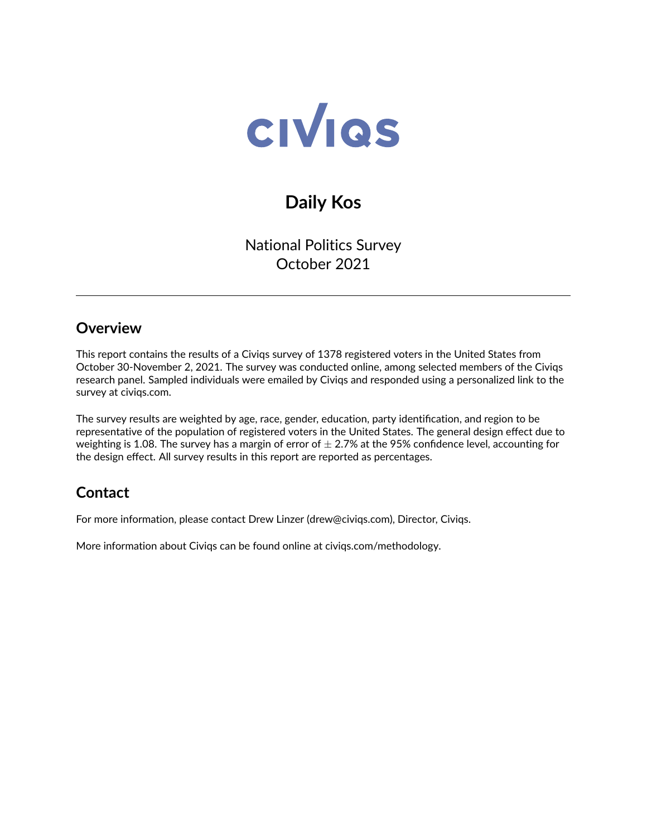

# **Daily Kos**

National Politics Survey October 2021

#### **Overview**

This report contains the results of a Civiqs survey of 1378 registered voters in the United States from October 30-November 2, 2021. The survey was conducted online, among selected members of the Civiqs research panel. Sampled individuals were emailed by Civiqs and responded using a personalized link to the survey at civiqs.com.

The survey results are weighted by age, race, gender, education, party identification, and region to be representative of the population of registered voters in the United States. The general design effect due to weighting is 1.08. The survey has a margin of error of  $\pm$  2.7% at the 95% confidence level, accounting for the design effect. All survey results in this report are reported as percentages.

## **Contact**

For more information, please contact Drew Linzer [\(drew@civiqs.com\)](mailto:drew@civiqs.com), Director, Civiqs.

More information about Civiqs can be found online at [civiqs.com/methodology.](https://civiqs.com/methodology)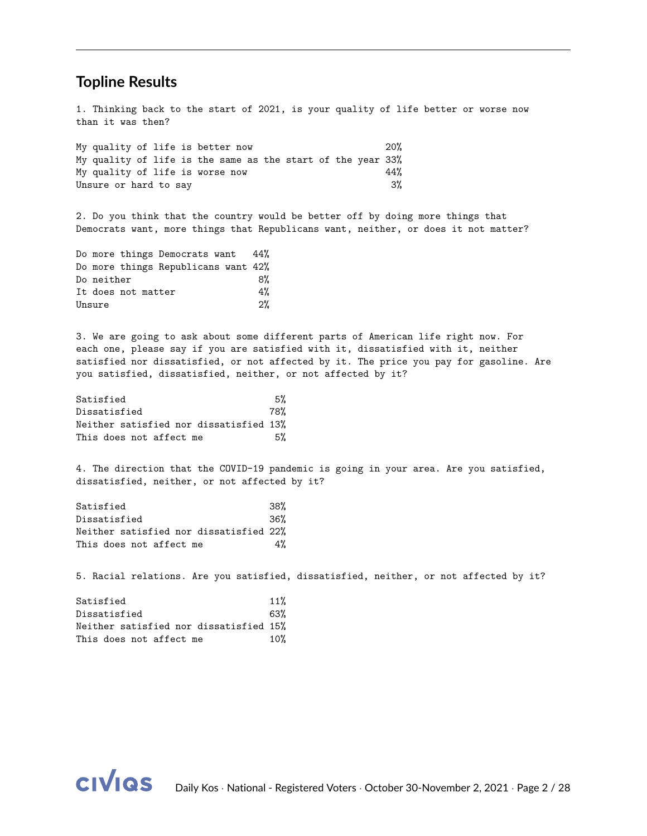#### **Topline Results**

1. Thinking back to the start of 2021, is your quality of life better or worse now than it was then?

| My quality of life is better now                            |  |  |  |  |  | 20%   |
|-------------------------------------------------------------|--|--|--|--|--|-------|
| My quality of life is the same as the start of the year 33% |  |  |  |  |  |       |
| My quality of life is worse now                             |  |  |  |  |  | 44%   |
| Unsure or hard to say                                       |  |  |  |  |  | $3\%$ |

2. Do you think that the country would be better off by doing more things that Democrats want, more things that Republicans want, neither, or does it not matter?

|            |                    | Do more things Democrats want 44%   |       |
|------------|--------------------|-------------------------------------|-------|
|            |                    | Do more things Republicans want 42% |       |
| Do neither |                    |                                     | 8%    |
|            | It does not matter |                                     | 4%    |
| Unsure     |                    |                                     | $2\%$ |

3. We are going to ask about some different parts of American life right now. For each one, please say if you are satisfied with it, dissatisfied with it, neither satisfied nor dissatisfied, or not affected by it. The price you pay for gasoline. Are you satisfied, dissatisfied, neither, or not affected by it?

| Satisfied                              | 5%  |
|----------------------------------------|-----|
| Dissatisfied                           | 78% |
| Neither satisfied nor dissatisfied 13% |     |
| This does not affect me                | 5%  |

4. The direction that the COVID-19 pandemic is going in your area. Are you satisfied, dissatisfied, neither, or not affected by it?

Satisfied 38% Dissatisfied 36% Neither satisfied nor dissatisfied 22% This does not affect me  $4\%$ 

5. Racial relations. Are you satisfied, dissatisfied, neither, or not affected by it?

| Satisfied                              | 11% |
|----------------------------------------|-----|
| Dissatisfied                           | 63% |
| Neither satisfied nor dissatisfied 15% |     |
| This does not affect me                | 10% |

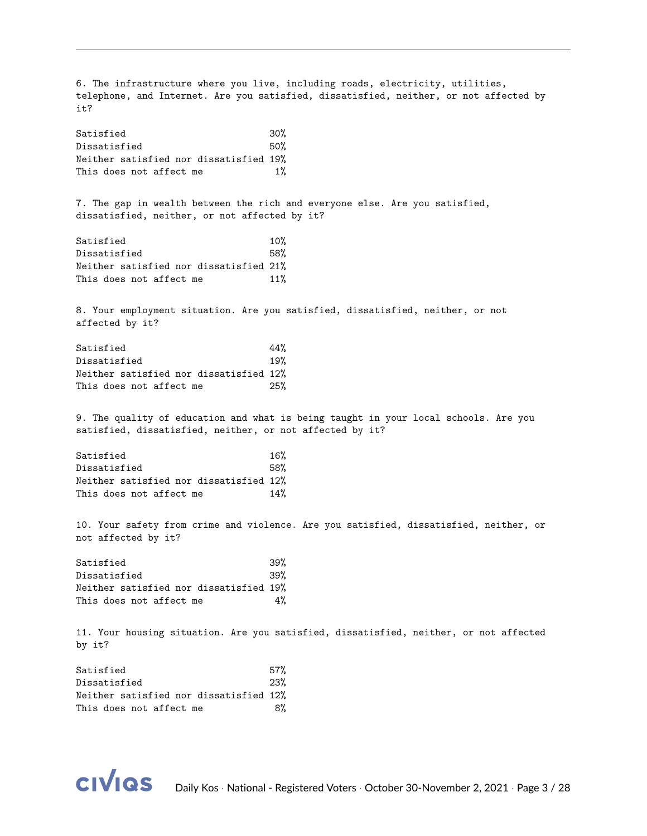6. The infrastructure where you live, including roads, electricity, utilities, telephone, and Internet. Are you satisfied, dissatisfied, neither, or not affected by it? Satisfied 30% Dissatisfied 50% Neither satisfied nor dissatisfied 19% This does not affect me  $1\%$ 7. The gap in wealth between the rich and everyone else. Are you satisfied, dissatisfied, neither, or not affected by it? Satisfied 10% Dissatisfied 58% Neither satisfied nor dissatisfied 21% This does not affect me 11% 8. Your employment situation. Are you satisfied, dissatisfied, neither, or not affected by it? Satisfied 44% Dissatisfied 19% Neither satisfied nor dissatisfied 12% This does not affect me 25% 9. The quality of education and what is being taught in your local schools. Are you satisfied, dissatisfied, neither, or not affected by it? Satisfied 16% Dissatisfied 58% Neither satisfied nor dissatisfied 12% This does not affect me  $14%$ 10. Your safety from crime and violence. Are you satisfied, dissatisfied, neither, or not affected by it? Satisfied 39% Dissatisfied 39% Neither satisfied nor dissatisfied 19% This does not affect me  $4\%$ 11. Your housing situation. Are you satisfied, dissatisfied, neither, or not affected by it? Satisfied 57% Dissatisfied 23% Neither satisfied nor dissatisfied 12%

This does not affect me 8%

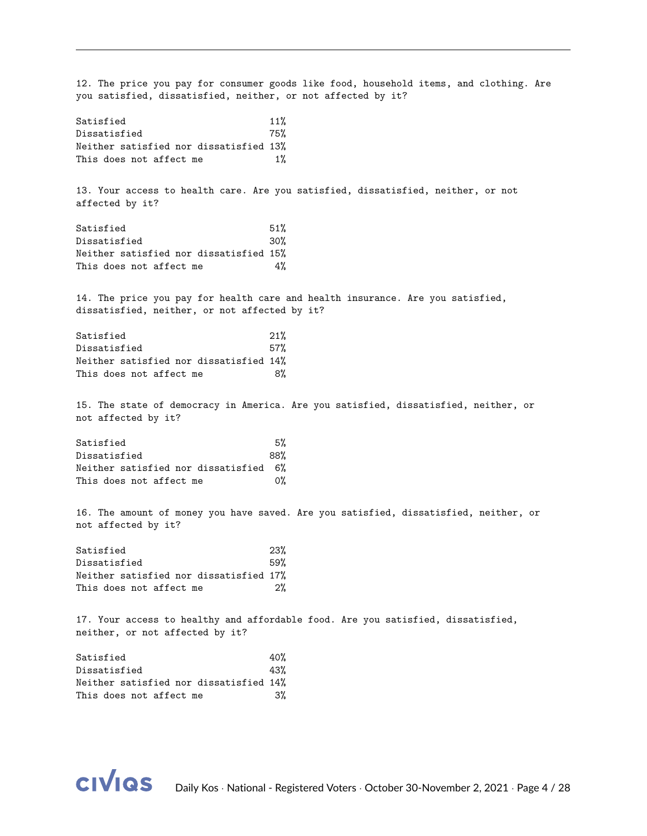12. The price you pay for consumer goods like food, household items, and clothing. Are you satisfied, dissatisfied, neither, or not affected by it? Satisfied 11% Dissatisfied 75% Neither satisfied nor dissatisfied 13% This does not affect me  $1\%$ 13. Your access to health care. Are you satisfied, dissatisfied, neither, or not affected by it? Satisfied 51% Dissatisfied 30% Neither satisfied nor dissatisfied 15% This does not affect me  $4\%$ 14. The price you pay for health care and health insurance. Are you satisfied, dissatisfied, neither, or not affected by it? Satisfied 21% Dissatisfied 57% Neither satisfied nor dissatisfied 14% This does not affect me 8% 15. The state of democracy in America. Are you satisfied, dissatisfied, neither, or not affected by it? Satisfied 5% Dissatisfied 88% Neither satisfied nor dissatisfied 6% This does not affect me  $0\%$ 16. The amount of money you have saved. Are you satisfied, dissatisfied, neither, or not affected by it? Satisfied 23% Dissatisfied 59% Neither satisfied nor dissatisfied 17% This does not affect me 2% 17. Your access to healthy and affordable food. Are you satisfied, dissatisfied, neither, or not affected by it? Satisfied 40% Dissatisfied 43% Neither satisfied nor dissatisfied 14%

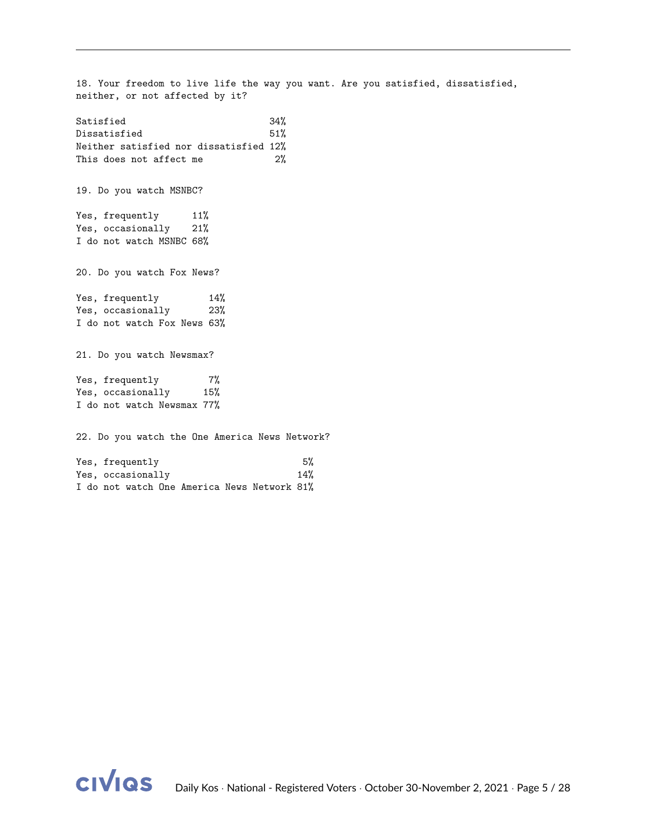18. Your freedom to live life the way you want. Are you satisfied, dissatisfied, neither, or not affected by it? Satisfied 34% Dissatisfied 51% Neither satisfied nor dissatisfied 12% This does not affect me 2% 19. Do you watch MSNBC? Yes, frequently 11% Yes, occasionally 21% I do not watch MSNBC 68% 20. Do you watch Fox News? Yes, frequently 14% Yes, occasionally 23% I do not watch Fox News 63% 21. Do you watch Newsmax? Yes, frequently 7% Yes, occasionally 15% I do not watch Newsmax 77% 22. Do you watch the One America News Network? Yes, frequently 5% Yes, occasionally 14% I do not watch One America News Network 81%

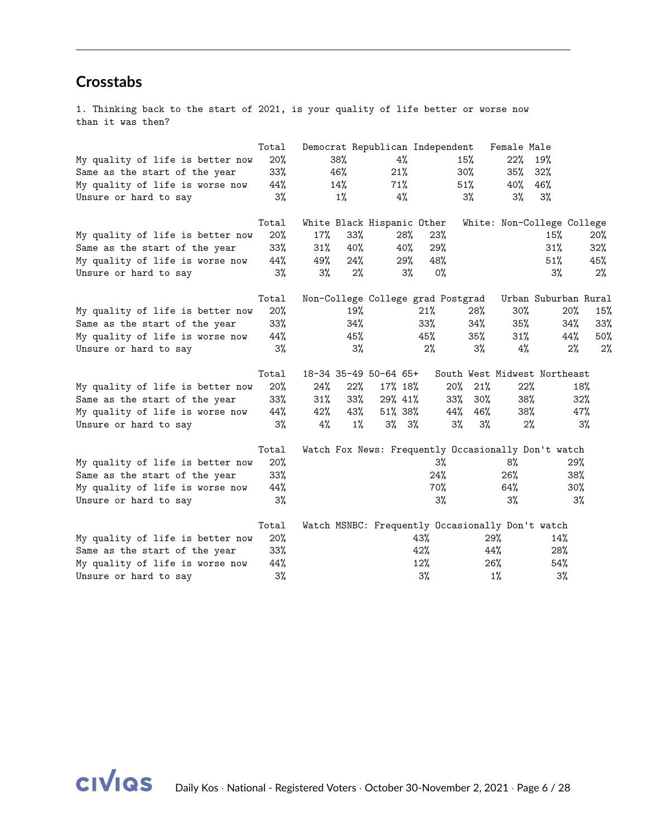### **Crosstabs**

1. Thinking back to the start of 2021, is your quality of life better or worse now than it was then?

|                                  | Total  |     |        | Democrat Republican Independent   |       |        |        | Female Male |                                                     |          |
|----------------------------------|--------|-----|--------|-----------------------------------|-------|--------|--------|-------------|-----------------------------------------------------|----------|
| My quality of life is better now | 20%    |     | 38%    | 4%                                |       |        | 15%    | 22%         | 19%                                                 |          |
| Same as the start of the year    | $33\%$ |     | 46%    | 21%                               |       |        | 30%    | 35%         | 32%                                                 |          |
| My quality of life is worse now  | 44%    |     | 14%    | 71%                               |       |        | 51%    | 40%         | 46%                                                 |          |
| Unsure or hard to say            | 3%     |     | $1\%$  | 4%                                |       |        | 3%     | 3%          | 3%                                                  |          |
|                                  | Total  |     |        | White Black Hispanic Other        |       |        |        |             | White: Non-College College                          |          |
| My quality of life is better now | 20%    | 17% | $33\%$ |                                   | 28%   | 23%    |        |             | 15%                                                 | $20\%$   |
| Same as the start of the year    | 33%    | 31% | 40%    | 40%                               |       | 29%    |        |             | 31%                                                 | $32\%$   |
| My quality of life is worse now  | 44%    | 49% | 24%    |                                   | 29%   | 48%    |        |             | 51%                                                 | 45%      |
| Unsure or hard to say            | 3%     | 3%  | $2\%$  |                                   | 3%    | 0%     |        |             | $3\%$                                               | 2%       |
|                                  | Total  |     |        | Non-College College grad Postgrad |       |        |        |             | Urban Suburban Rural                                |          |
| My quality of life is better now | 20%    |     | 19%    |                                   | 21%   |        | 28%    | 30%         | 20%                                                 | 15%      |
| Same as the start of the year    | $33\%$ |     | 34%    |                                   | 33%   |        | 34%    | 35%         | 34%                                                 | 33%      |
| My quality of life is worse now  | 44%    |     | 45%    |                                   | 45%   |        | 35%    | 31%         | 44%                                                 | 50%      |
| Unsure or hard to say            | 3%     |     | 3%     |                                   | $2\%$ |        | 3%     | 4%          |                                                     | 2%<br>2% |
|                                  | Total  |     |        | 18-34 35-49 50-64 65+             |       |        |        |             | South West Midwest Northeast                        |          |
| My quality of life is better now | 20%    | 24% | 22%    | 17% 18%                           |       | $20\%$ | 21%    | 22%         |                                                     | 18%      |
| Same as the start of the year    | $33\%$ | 31% | 33%    | 29% 41%                           |       | 33%    | $30\%$ | 38%         |                                                     | 32%      |
| My quality of life is worse now  | 44%    | 42% | 43%    | 51% 38%                           |       | 44%    | 46%    | 38%         |                                                     | 47%      |
| Unsure or hard to say            | $3\%$  | 4%  | 1%     | $3\%$ $3\%$                       |       | 3%     | 3%     | $2\%$       |                                                     | $3\%$    |
|                                  | Total  |     |        |                                   |       |        |        |             | Watch Fox News: Frequently Occasionally Don't watch |          |
| My quality of life is better now | 20%    |     |        |                                   |       | 3%     |        | 8%          |                                                     | 29%      |
| Same as the start of the year    | 33%    |     |        |                                   |       | 24%    |        | 26%         |                                                     | 38%      |
| My quality of life is worse now  | 44%    |     |        |                                   |       | 70%    |        | 64%         |                                                     | 30%      |
| Unsure or hard to say            | 3%     |     |        |                                   |       | 3%     |        | 3%          |                                                     | 3%       |
|                                  | Total  |     |        |                                   |       |        |        |             | Watch MSNBC: Frequently Occasionally Don't watch    |          |
| My quality of life is better now | 20%    |     |        |                                   | 43%   |        |        | 29%         | 14%                                                 |          |
| Same as the start of the year    | 33%    |     |        |                                   | 42%   |        |        | 44%         | 28%                                                 |          |
| My quality of life is worse now  | 44%    |     |        |                                   | 12%   |        |        | 26%         | 54%                                                 |          |
| Unsure or hard to say            | 3%     |     |        |                                   | 3%    |        |        | $1\%$       | 3%                                                  |          |

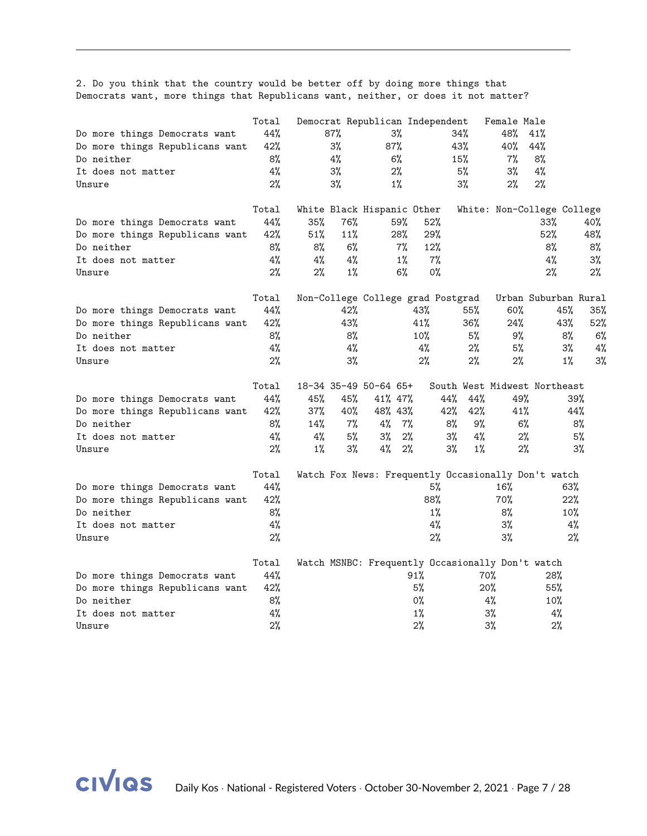2. Do you think that the country would be better off by doing more things that Democrats want, more things that Republicans want, neither, or does it not matter?

|                                 | Total |       |       |                            |       | Democrat Republican Independent   |       | Female Male                                      |                                                            |       |
|---------------------------------|-------|-------|-------|----------------------------|-------|-----------------------------------|-------|--------------------------------------------------|------------------------------------------------------------|-------|
| Do more things Democrats want   | 44%   |       | 87%   |                            | 3%    |                                   | 34%   | 48%                                              | 41%                                                        |       |
| Do more things Republicans want | 42%   |       | 3%    | 87%                        |       |                                   | 43%   | 40%                                              | 44%                                                        |       |
| Do neither                      | 8%    |       | 4%    |                            | 6%    |                                   | 15%   | 7%                                               | 8%                                                         |       |
| It does not matter              | 4%    |       | 3%    |                            | 2%    |                                   | 5%    | 3%                                               | 4%                                                         |       |
| Unsure                          | 2%    |       | 3%    |                            | 1%    |                                   | 3%    | 2%                                               | 2%                                                         |       |
|                                 |       |       |       |                            |       |                                   |       |                                                  |                                                            |       |
|                                 | Total |       |       | White Black Hispanic Other |       |                                   |       |                                                  | White: Non-College College                                 |       |
| Do more things Democrats want   | 44%   | 35%   | 76%   |                            | 59%   | 52%                               |       |                                                  | 33%                                                        | 40%   |
| Do more things Republicans want | 42%   | 51%   | 11%   |                            | 28%   | 29%                               |       |                                                  | 52%                                                        | 48%   |
| Do neither                      | 8%    | 8%    | 6%    |                            | 7%    | 12%                               |       |                                                  | 8%                                                         | 8%    |
| It does not matter              | 4%    | 4%    | 4%    |                            | $1\%$ | 7%                                |       |                                                  | 4%                                                         | 3%    |
| Unsure                          | 2%    | 2%    | 1%    |                            | 6%    | $0\%$                             |       |                                                  | 2%                                                         | 2%    |
|                                 |       |       |       |                            |       |                                   |       |                                                  |                                                            |       |
|                                 | Total |       |       |                            |       | Non-College College grad Postgrad |       |                                                  | Urban Suburban Rural                                       |       |
| Do more things Democrats want   | 44%   |       | 42%   |                            |       | 43%                               | 55%   | $60\%$                                           | 45%                                                        | 35%   |
| Do more things Republicans want | 42%   |       | 43%   |                            |       | 41%                               | 36%   | 24%                                              | 43%                                                        | 52%   |
| Do neither                      | 8%    |       | 8%    |                            |       | 10%                               | 5%    | 9%                                               | 8%                                                         | 6%    |
| It does not matter              | 4%    |       | 4%    |                            |       | 4%                                | 2%    | 5%                                               | 3%                                                         | 4%    |
| Unsure                          | 2%    |       | 3%    |                            |       | $2\%$                             | 2%    | 2%                                               | $1\%$                                                      | 3%    |
|                                 | Total |       |       | 18-34 35-49 50-64 65+      |       |                                   |       |                                                  | South West Midwest Northeast                               |       |
| Do more things Democrats want   | 44%   | 45%   | 45%   | 41% 47%                    |       | 44%                               | 44%   | 49%                                              |                                                            | 39%   |
| Do more things Republicans want | 42%   | 37%   | 40%   | 48% 43%                    |       | 42%                               | 42%   | 41%                                              |                                                            | 44%   |
| Do neither                      | 8%    | 14%   | 7%    | 4%                         | 7%    | 8%                                | 9%    | 6%                                               |                                                            | 8%    |
| It does not matter              | 4%    | 4%    | 5%    | 3%                         | 2%    | $3\%$                             | 4%    | 2%                                               |                                                            | 5%    |
| Unsure                          | 2%    | $1\%$ | $3\%$ | 4%                         | $2\%$ | $3\%$                             | $1\%$ | 2%                                               |                                                            | $3\%$ |
|                                 | Total |       |       |                            |       |                                   |       |                                                  |                                                            |       |
|                                 | 44%   |       |       |                            |       | 5%                                |       | 16%                                              | Watch Fox News: Frequently Occasionally Don't watch<br>63% |       |
| Do more things Democrats want   | 42%   |       |       |                            |       | 88%                               |       | 70%                                              | 22%                                                        |       |
| Do more things Republicans want |       |       |       |                            |       |                                   |       |                                                  |                                                            |       |
| Do neither                      | 8%    |       |       |                            |       | $1\%$                             |       | 8%                                               | 10%                                                        |       |
| It does not matter              | 4%    |       |       |                            |       | 4%                                |       | 3%                                               |                                                            | 4%    |
| Unsure                          | 2%    |       |       |                            |       | 2%                                |       | 3%                                               |                                                            | 2%    |
|                                 | Total |       |       |                            |       |                                   |       | Watch MSNBC: Frequently Occasionally Don't watch |                                                            |       |
| Do more things Democrats want   | 44%   |       |       |                            | 91%   |                                   |       | 70%                                              | 28%                                                        |       |
| Do more things Republicans want | 42%   |       |       |                            | 5%    |                                   |       | 20%                                              | 55%                                                        |       |
| Do neither                      | 8%    |       |       |                            | 0%    |                                   |       | 4%                                               | 10%                                                        |       |
| It does not matter              | 4%    |       |       |                            | 1%    |                                   |       | 3%                                               | 4%                                                         |       |
| Unsure                          | 2%    |       |       |                            | 2%    |                                   |       | 3%                                               | 2%                                                         |       |

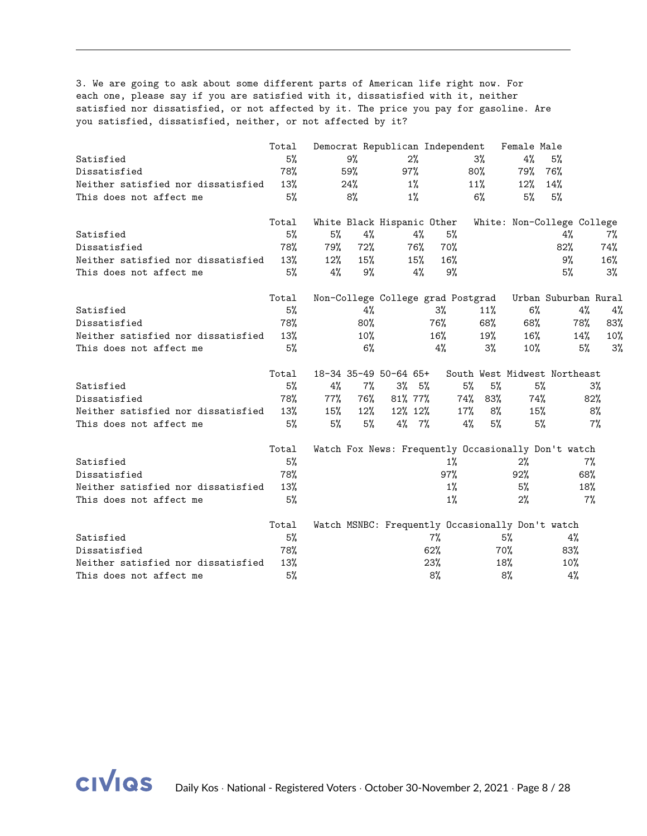3. We are going to ask about some different parts of American life right now. For each one, please say if you are satisfied with it, dissatisfied with it, neither satisfied nor dissatisfied, or not affected by it. The price you pay for gasoline. Are you satisfied, dissatisfied, neither, or not affected by it?

|                                    | Total |        |        |                       |       | Democrat Republican Independent   |            | Female Male                                      |                                                     |       |
|------------------------------------|-------|--------|--------|-----------------------|-------|-----------------------------------|------------|--------------------------------------------------|-----------------------------------------------------|-------|
| Satisfied                          | 5%    |        | 9%     |                       | 2%    |                                   | $3\%$      | 4%                                               | 5%                                                  |       |
| Dissatisfied                       | 78%   |        | 59%    | 97%                   |       |                                   | $80\%$     | 79%                                              | 76%                                                 |       |
| Neither satisfied nor dissatisfied | 13%   |        | 24%    |                       | $1\%$ |                                   | 11%        | $12\%$                                           | 14%                                                 |       |
| This does not affect me            | 5%    |        | 8%     |                       | $1\%$ |                                   | $6\%$      | 5%                                               | 5%                                                  |       |
|                                    | Total |        |        |                       |       | White Black Hispanic Other        |            |                                                  | White: Non-College College                          |       |
| Satisfied                          | 5%    | 5%     | 4%     |                       | 4%    | 5%                                |            |                                                  | 4%                                                  | 7%    |
| Dissatisfied                       | 78%   | 79%    | 72%    |                       | 76%   | 70%                               |            |                                                  | 82%                                                 | 74%   |
| Neither satisfied nor dissatisfied | 13%   | $12\%$ | 15%    |                       | 15%   | 16%                               |            |                                                  | 9%                                                  | 16%   |
| This does not affect me            | 5%    | 4%     | 9%     |                       | $4\%$ | 9%                                |            |                                                  | 5%                                                  | 3%    |
|                                    | Total |        |        |                       |       | Non-College College grad Postgrad |            |                                                  | Urban Suburban Rural                                |       |
| Satisfied                          | 5%    |        | 4%     |                       |       | 3%                                | $11\%$     | 6%                                               | 4%                                                  | 4%    |
| Dissatisfied                       | 78%   |        | 80%    |                       |       | 76%                               | 68%        | 68%                                              | 78%                                                 | 83%   |
| Neither satisfied nor dissatisfied | 13%   |        | $10\%$ |                       |       | 16%                               | 19%        | 16%                                              | 14%                                                 | 10%   |
| This does not affect me            | 5%    |        | 6%     |                       |       | 4%                                | 3%         | $10\%$                                           | 5%                                                  | 3%    |
|                                    | Total |        |        | 18-34 35-49 50-64 65+ |       |                                   |            |                                                  | South West Midwest Northeast                        |       |
| Satisfied                          | 5%    | 4%     | $7\%$  | $3\%$ 5%              |       |                                   | 5%<br>5%   | 5%                                               |                                                     | $3\%$ |
| Dissatisfied                       | 78%   | 77%    | 76%    | 81% 77%               |       |                                   | 74%<br>83% | 74%                                              |                                                     | 82%   |
| Neither satisfied nor dissatisfied | 13%   | 15%    | $12\%$ | 12% 12%               |       |                                   | 17%<br>8%  | 15%                                              |                                                     | 8%    |
| This does not affect me            | 5%    | 5%     | 5%     | $4\%$ 7%              |       |                                   | 4%<br>5%   | 5%                                               |                                                     | 7%    |
|                                    | Total |        |        |                       |       |                                   |            |                                                  | Watch Fox News: Frequently Occasionally Don't watch |       |
| Satisfied                          | 5%    |        |        |                       |       | $1\%$                             |            | $2\%$                                            | 7%                                                  |       |
| Dissatisfied                       | 78%   |        |        |                       |       | 97%                               |            | 92%                                              | 68%                                                 |       |
| Neither satisfied nor dissatisfied | 13%   |        |        |                       |       | 1%                                |            | 5%                                               | 18%                                                 |       |
| This does not affect me            | 5%    |        |        |                       |       | $1\%$                             |            | 2%                                               | 7%                                                  |       |
|                                    | Total |        |        |                       |       |                                   |            | Watch MSNBC: Frequently Occasionally Don't watch |                                                     |       |
| Satisfied                          | 5%    |        |        |                       |       | 7%                                |            | 5%                                               | 4%                                                  |       |
| Dissatisfied                       | 78%   |        |        |                       |       | 62%                               |            | 70%                                              | 83%                                                 |       |
| Neither satisfied nor dissatisfied | 13%   |        |        |                       |       | 23%                               |            | 18%                                              | 10%                                                 |       |
| This does not affect me            | 5%    |        |        |                       |       | 8%                                |            | 8%                                               | 4%                                                  |       |

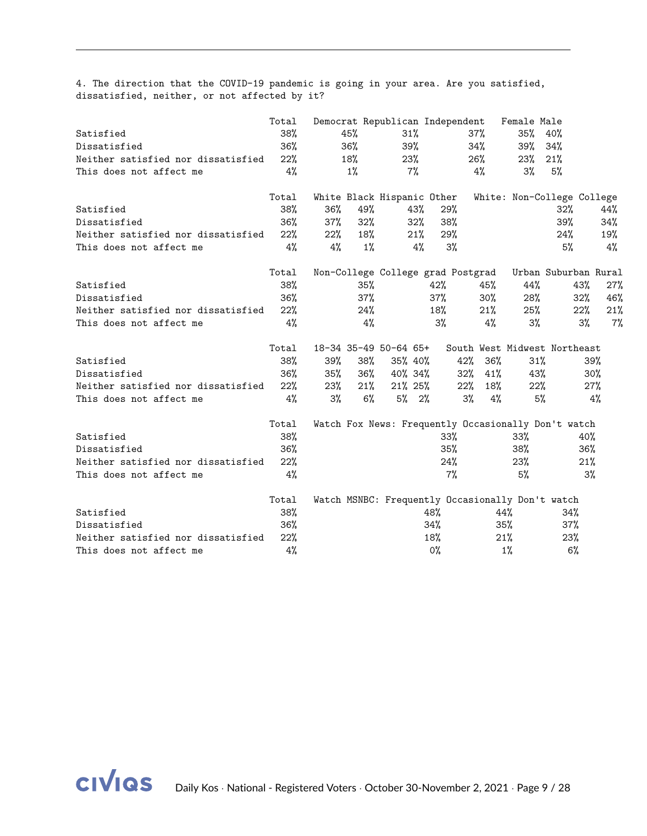4. The direction that the COVID-19 pandemic is going in your area. Are you satisfied, dissatisfied, neither, or not affected by it?

|                                    | Total |        |       | Democrat Republican Independent                  |        |        |        | Female Male |                                                     |       |
|------------------------------------|-------|--------|-------|--------------------------------------------------|--------|--------|--------|-------------|-----------------------------------------------------|-------|
| Satisfied                          | 38%   |        | 45%   | 31%                                              |        |        | $37\%$ | 35%         | 40%                                                 |       |
| Dissatisfied                       | 36%   |        | 36%   | 39%                                              |        |        | 34%    | 39%         | 34%                                                 |       |
| Neither satisfied nor dissatisfied | 22%   |        | 18%   | 23%                                              |        |        | 26%    | 23%         | 21%                                                 |       |
| This does not affect me            | 4%    |        | $1\%$ | 7%                                               |        |        | 4%     | $3\%$       | 5%                                                  |       |
|                                    | Total |        |       | White Black Hispanic Other                       |        |        |        |             | White: Non-College College                          |       |
| Satisfied                          | 38%   | 36%    | 49%   |                                                  | 43%    | 29%    |        |             | 32%                                                 | 44%   |
| Dissatisfied                       | 36%   | $37\%$ | 32%   |                                                  | $32\%$ | 38%    |        |             | 39%                                                 | 34%   |
| Neither satisfied nor dissatisfied | 22%   | $22\%$ | 18%   |                                                  | 21%    | 29%    |        |             | 24%                                                 | 19%   |
| This does not affect me            | 4%    | $4\%$  | $1\%$ |                                                  | $4\%$  | 3%     |        |             | 5%                                                  | 4%    |
|                                    | Total |        |       | Non-College College grad Postgrad                |        |        |        |             | Urban Suburban Rural                                |       |
| Satisfied                          | 38%   |        | 35%   |                                                  | 42%    |        | 45%    | 44%         | 43%                                                 | 27%   |
| Dissatisfied                       | 36%   |        | 37%   |                                                  | 37%    |        | $30\%$ | 28%         | 32%                                                 | 46%   |
| Neither satisfied nor dissatisfied | 22%   |        | 24%   |                                                  | 18%    |        | 21%    | 25%         | 22%                                                 | 21%   |
| This does not affect me            | 4%    |        | 4%    |                                                  |        | 3%     | 4%     | 3%          | 3%                                                  | $7\%$ |
|                                    | Total |        |       | 18-34 35-49 50-64 65+                            |        |        |        |             | South West Midwest Northeast                        |       |
| Satisfied                          | 38%   | 39%    | 38%   | 35% 40%                                          |        | 42%    | 36%    | 31%         |                                                     | 39%   |
| Dissatisfied                       | 36%   | 35%    | 36%   | 40% 34%                                          |        | $32\%$ | 41%    | 43%         |                                                     | 30%   |
| Neither satisfied nor dissatisfied | 22%   | 23%    | 21%   | $21\%$ 25%                                       |        | 22%    | 18%    | 22%         |                                                     | 27%   |
| This does not affect me            | 4%    | $3\%$  | $6\%$ | $5\%$ 2%                                         |        | 3%     | 4%     | 5%          |                                                     | 4%    |
|                                    | Total |        |       |                                                  |        |        |        |             | Watch Fox News: Frequently Occasionally Don't watch |       |
| Satisfied                          | 38%   |        |       |                                                  |        | $33\%$ |        | 33%         |                                                     | 40%   |
| Dissatisfied                       | 36%   |        |       |                                                  |        | $35\%$ |        | 38%         |                                                     | 36%   |
| Neither satisfied nor dissatisfied | 22%   |        |       |                                                  |        | 24%    |        | 23%         |                                                     | 21%   |
| This does not affect me            | 4%    |        |       |                                                  |        | 7%     |        | 5%          |                                                     | 3%    |
|                                    | Total |        |       | Watch MSNBC: Frequently Occasionally Don't watch |        |        |        |             |                                                     |       |
| Satisfied                          | 38%   |        |       |                                                  | 48%    |        | 44%    |             | 34%                                                 |       |
| Dissatisfied                       | 36%   |        |       |                                                  | 34%    |        | 35%    |             | 37%                                                 |       |
| Neither satisfied nor dissatisfied | 22%   |        |       |                                                  | 18%    |        | 21%    |             | 23%                                                 |       |
| This does not affect me            | 4%    |        |       |                                                  | $0\%$  |        |        | 1%          | 6%                                                  |       |

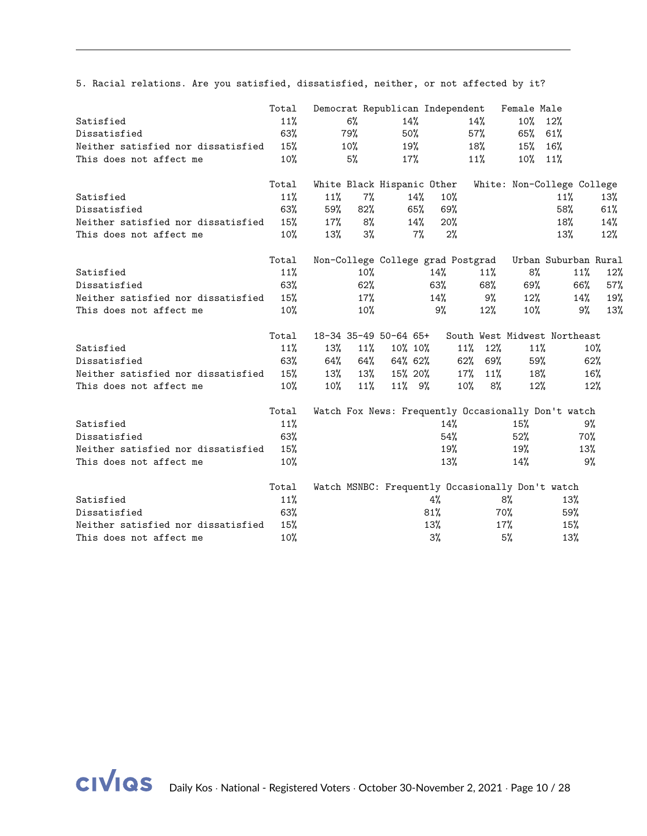5. Racial relations. Are you satisfied, dissatisfied, neither, or not affected by it?

|                                    | Total  |        |        | Democrat Republican Independent |        |        |               | Female Male |                                                        |        |
|------------------------------------|--------|--------|--------|---------------------------------|--------|--------|---------------|-------------|--------------------------------------------------------|--------|
| Satisfied                          | 11%    |        | $6\%$  | 14%                             |        |        | 14%           | $10\%$      | 12%                                                    |        |
| Dissatisfied                       | 63%    |        | 79%    | 50%                             |        |        | 57%           | 65%         | 61%                                                    |        |
| Neither satisfied nor dissatisfied | 15%    |        | $10\%$ |                                 | 19%    |        | 18%           | 15%         | 16%                                                    |        |
| This does not affect me            | 10%    |        | 5%     | $17\%$                          |        |        | 11%           | $10\%$ 11%  |                                                        |        |
|                                    | Total  |        |        | White Black Hispanic Other      |        |        |               |             | White: Non-College College                             |        |
| Satisfied                          | 11%    | 11%    | $7\%$  |                                 | $14\%$ | $10\%$ |               |             | 11%                                                    | 13%    |
| Dissatisfied                       | 63%    | 59%    | 82%    |                                 | 65%    | 69%    |               |             | 58%                                                    | 61%    |
| Neither satisfied nor dissatisfied | 15%    | $17\%$ | 8%     |                                 | 14%    | 20%    |               |             | 18%                                                    | 14%    |
| This does not affect me            | $10\%$ | 13%    | 3%     |                                 | 7%     | 2%     |               |             | 13%                                                    | 12%    |
|                                    | Total  |        |        |                                 |        |        |               |             | Non-College College grad Postgrad Urban Suburban Rural |        |
| Satisfied                          | 11%    |        | 10%    |                                 |        | 14%    | $11\%$        | 8%          | 11%                                                    | 12%    |
| Dissatisfied                       | 63%    |        | 62%    |                                 |        | 63%    | 68%           | 69%         | 66%                                                    | 57%    |
| Neither satisfied nor dissatisfied | 15%    |        | 17%    |                                 |        | 14%    | 9%            | 12%         | $14\%$                                                 | 19%    |
| This does not affect me            | 10%    |        | 10%    |                                 |        | 9%     | 12%           | $10\%$      | 9%                                                     | 13%    |
|                                    | Total  |        |        | 18-34 35-49 50-64 65+           |        |        |               |             | South West Midwest Northeast                           |        |
| Satisfied                          | 11%    | 13%    |        | 11% 10% 10%                     |        |        | $11\%$ $12\%$ | 11%         |                                                        | 10%    |
| Dissatisfied                       | 63%    | 64%    | 64%    | 64% 62%                         |        |        | 62% 69%       | 59%         |                                                        | $62\%$ |
| Neither satisfied nor dissatisfied | 15%    | 13%    | 13%    | 15% 20%                         |        |        | 11%<br>17%    | 18%         |                                                        | 16%    |
| This does not affect me            | 10%    | $10\%$ | 11%    | 11% 9%                          |        |        | 10%<br>8%     | 12%         |                                                        | 12%    |
|                                    | Total  |        |        |                                 |        |        |               |             | Watch Fox News: Frequently Occasionally Don't watch    |        |
| Satisfied                          | 11%    |        |        |                                 |        | 14%    |               | 15%         | 9%                                                     |        |
| Dissatisfied                       | 63%    |        |        |                                 |        | 54%    |               | 52%         | 70%                                                    |        |
| Neither satisfied nor dissatisfied | 15%    |        |        |                                 |        | 19%    |               | 19%         | 13%                                                    |        |
| This does not affect me            | 10%    |        |        |                                 |        | 13%    |               | 14%         | 9%                                                     |        |
|                                    | Total  |        |        |                                 |        |        |               |             | Watch MSNBC: Frequently Occasionally Don't watch       |        |
| Satisfied                          | 11%    |        |        |                                 |        | 4%     |               | 8%          | 13%                                                    |        |
| Dissatisfied                       | 63%    |        |        |                                 |        | 81%    |               | 70%         | 59%                                                    |        |
| Neither satisfied nor dissatisfied | 15%    |        |        |                                 |        | 13%    |               | 17%         | 15%                                                    |        |
| This does not affect me            | 10%    |        |        |                                 |        | 3%     |               | 5%          | 13%                                                    |        |

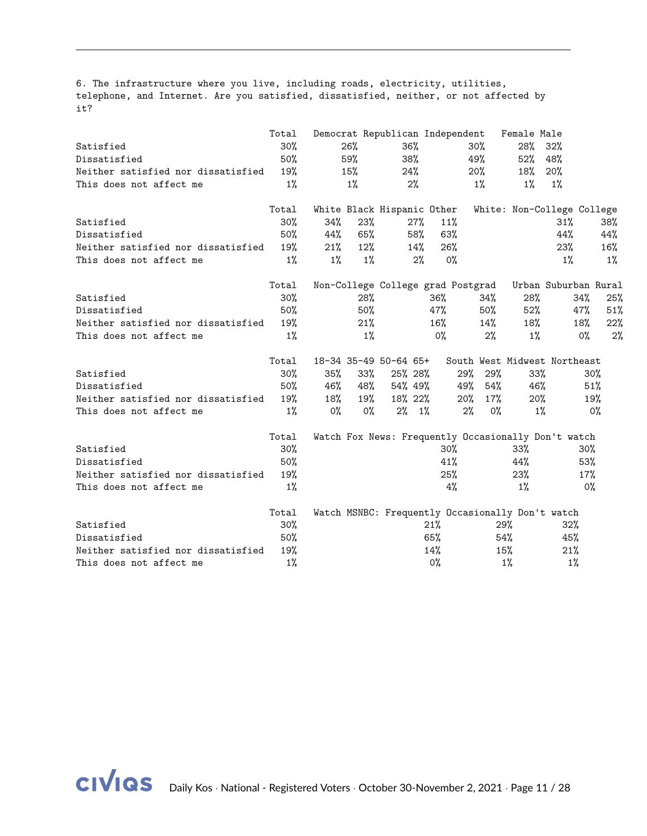6. The infrastructure where you live, including roads, electricity, utilities, telephone, and Internet. Are you satisfied, dissatisfied, neither, or not affected by it?

|                                    | Total  |       |       | Democrat Republican Independent                     |        |        |        | Female Male |                              |                            |
|------------------------------------|--------|-------|-------|-----------------------------------------------------|--------|--------|--------|-------------|------------------------------|----------------------------|
| Satisfied                          | 30%    |       | 26%   | $36\%$                                              |        |        | $30\%$ | 28%         | 32%                          |                            |
| Dissatisfied                       | $50\%$ |       | 59%   | 38%                                                 |        |        | 49%    | 52%         | 48%                          |                            |
| Neither satisfied nor dissatisfied | 19%    |       | 15%   | 24%                                                 |        |        | 20%    | 18%         | 20%                          |                            |
| This does not affect me            | $1\%$  |       | $1\%$ | 2%                                                  |        |        | $1\%$  | $1\%$       | $1\%$                        |                            |
|                                    | Total  |       |       | White Black Hispanic Other                          |        |        |        |             |                              | White: Non-College College |
| Satisfied                          | 30%    | 34%   | 23%   |                                                     | $27\%$ | 11%    |        |             | 31%                          | 38%                        |
| Dissatisfied                       | $50\%$ | 44%   | 65%   |                                                     | 58%    | 63%    |        |             | 44%                          | 44%                        |
| Neither satisfied nor dissatisfied | 19%    | 21%   | 12%   |                                                     | 14%    | 26%    |        |             | 23%                          | 16%                        |
| This does not affect me            | $1\%$  | $1\%$ | $1\%$ |                                                     | 2%     | $0\%$  |        |             | $1\%$                        | $1\%$                      |
|                                    | Total  |       |       | Non-College College grad Postgrad                   |        |        |        |             |                              | Urban Suburban Rural       |
| Satisfied                          | $30\%$ |       | 28%   |                                                     | 36%    |        | 34%    | 28%         |                              | 34%<br>25%                 |
| Dissatisfied                       | 50%    |       | 50%   |                                                     | 47%    |        | 50%    | $52\%$      |                              | 47%<br>51%                 |
| Neither satisfied nor dissatisfied | 19%    |       | 21%   |                                                     | 16%    |        | 14%    | 18%         |                              | 18%<br>22%                 |
| This does not affect me            | $1\%$  |       | $1\%$ |                                                     | $0\%$  |        | $2\%$  | $1\%$       |                              | 0%<br>2%                   |
|                                    | Total  |       |       | 18-34 35-49 50-64 65+                               |        |        |        |             | South West Midwest Northeast |                            |
| Satisfied                          | $30\%$ | 35%   | 33%   | 25% 28%                                             |        | 29%    | 29%    | 33%         |                              | $30\%$                     |
| Dissatisfied                       | 50%    | 46%   | 48%   | 54% 49%                                             |        | 49%    | 54%    | 46%         |                              | 51%                        |
| Neither satisfied nor dissatisfied | 19%    | 18%   | 19%   | 18% 22%                                             |        | $20\%$ | $17\%$ | 20%         |                              | 19%                        |
| This does not affect me            | $1\%$  | 0%    | 0%    | $2\%$ 1%                                            |        | $2\%$  | $0\%$  | $1\%$       |                              | 0%                         |
|                                    | Total  |       |       | Watch Fox News: Frequently Occasionally Don't watch |        |        |        |             |                              |                            |
| Satisfied                          | 30%    |       |       |                                                     |        | $30\%$ |        | 33%         |                              | $30\%$                     |
| Dissatisfied                       | 50%    |       |       |                                                     |        | 41%    |        | 44%         |                              | 53%                        |
| Neither satisfied nor dissatisfied | 19%    |       |       |                                                     |        | 25%    |        | 23%         |                              | 17%                        |
| This does not affect me            | $1\%$  |       |       |                                                     |        | 4%     |        | $1\%$       |                              | $0\%$                      |
|                                    | Total  |       |       | Watch MSNBC: Frequently Occasionally Don't watch    |        |        |        |             |                              |                            |
| Satisfied                          | 30%    |       |       |                                                     | 21%    |        |        | 29%         | 32%                          |                            |
| Dissatisfied                       | 50%    |       |       |                                                     | 65%    |        |        | 54%         | 45%                          |                            |
| Neither satisfied nor dissatisfied | 19%    |       |       |                                                     | 14%    |        |        | 15%         | 21%                          |                            |
| This does not affect me            | 1%     |       |       |                                                     | $0\%$  |        |        | $1\%$       | 1%                           |                            |

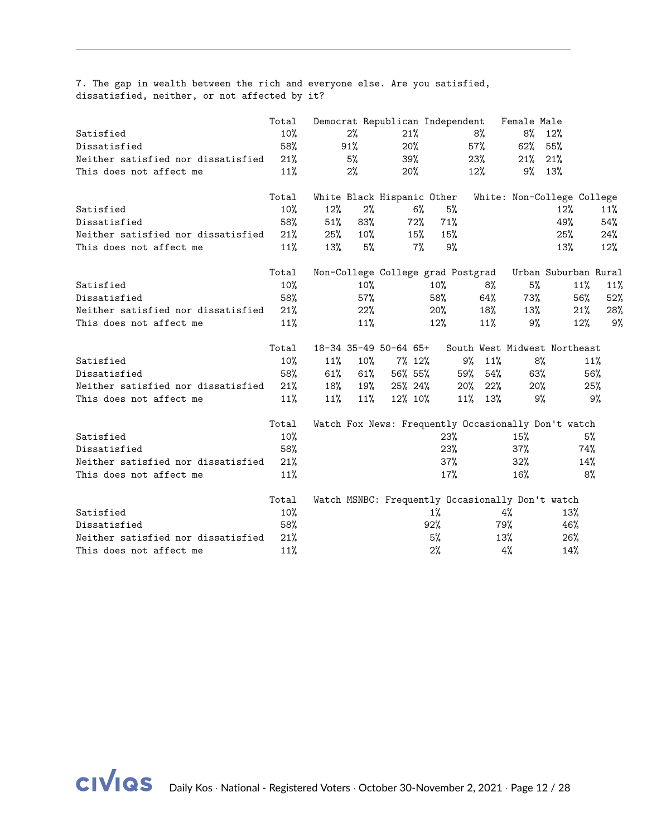7. The gap in wealth between the rich and everyone else. Are you satisfied, dissatisfied, neither, or not affected by it?

|                                    | Total  |        |        |                       |       | Democrat Republican Independent                  |           | Female Male |                                                        |     |
|------------------------------------|--------|--------|--------|-----------------------|-------|--------------------------------------------------|-----------|-------------|--------------------------------------------------------|-----|
| Satisfied                          | 10%    |        | 2%     | 21%                   |       |                                                  | 8%        | 8%          | 12%                                                    |     |
| Dissatisfied                       | 58%    |        | 91%    | 20%                   |       |                                                  | $57\%$    | 62%         | 55%                                                    |     |
| Neither satisfied nor dissatisfied | 21%    |        | 5%     | 39%                   |       |                                                  | 23%       | 21%         | 21%                                                    |     |
| This does not affect me            | 11%    |        | 2%     | $20\%$                |       |                                                  | 12%       | $9\%$ 13%   |                                                        |     |
|                                    | Total  |        |        |                       |       | White Black Hispanic Other                       |           |             | White: Non-College College                             |     |
| Satisfied                          | $10\%$ | 12%    | 2%     |                       | $6\%$ | 5%                                               |           |             | 12%                                                    | 11% |
| Dissatisfied                       | 58%    | 51%    | 83%    |                       | 72%   | 71%                                              |           |             | 49%                                                    | 54% |
| Neither satisfied nor dissatisfied | 21%    | 25%    | 10%    |                       | 15%   | 15%                                              |           |             | 25%                                                    | 24% |
| This does not affect me            | 11%    | 13%    | 5%     |                       | $7\%$ | 9%                                               |           |             | 13%                                                    | 12% |
|                                    | Total  |        |        |                       |       |                                                  |           |             | Non-College College grad Postgrad Urban Suburban Rural |     |
| Satisfied                          | $10\%$ |        | $10\%$ |                       |       | $10\%$                                           | 8%        | 5%          | 11%                                                    | 11% |
| Dissatisfied                       | 58%    |        | 57%    |                       |       | 58%                                              | 64%       | 73%         | 56%                                                    | 52% |
| Neither satisfied nor dissatisfied | 21%    |        | 22%    |                       |       | 20%                                              | 18%       | 13%         | 21%                                                    | 28% |
| This does not affect me            | 11%    |        | 11%    |                       |       | 12%                                              | 11%       | 9%          | 12%                                                    | 9%  |
|                                    | Total  |        |        | 18-34 35-49 50-64 65+ |       |                                                  |           |             | South West Midwest Northeast                           |     |
| Satisfied                          | 10%    | $11\%$ | $10\%$ | $7\%$ 12%             |       |                                                  | 9%<br>11% | 8%          |                                                        | 11% |
| Dissatisfied                       | 58%    | 61%    | 61%    | 56% 55%               |       | 59%                                              | 54%       | 63%         |                                                        | 56% |
| Neither satisfied nor dissatisfied | 21%    | 18%    | 19%    | 25%24%                |       | 20%                                              | 22%       | $20\%$      |                                                        | 25% |
| This does not affect me            | 11%    | $11\%$ | 11%    | 12% 10%               |       |                                                  | 11% 13%   | 9%          |                                                        | 9%  |
|                                    | Total  |        |        |                       |       |                                                  |           |             | Watch Fox News: Frequently Occasionally Don't watch    |     |
| Satisfied                          | 10%    |        |        |                       |       | 23%                                              |           | 15%         |                                                        | 5%  |
| Dissatisfied                       | 58%    |        |        |                       |       | 23%                                              |           | $37\%$      | 74%                                                    |     |
| Neither satisfied nor dissatisfied | 21%    |        |        |                       |       | 37%                                              |           | 32%         | 14%                                                    |     |
| This does not affect me            | 11%    |        |        |                       |       | 17%                                              |           | 16%         |                                                        | 8%  |
|                                    | Total  |        |        |                       |       | Watch MSNBC: Frequently Occasionally Don't watch |           |             |                                                        |     |
| Satisfied                          | 10%    |        |        |                       |       | $1\%$                                            |           | 4%          | 13%                                                    |     |
| Dissatisfied                       | 58%    |        |        |                       |       | 92%                                              |           | 79%         | 46%                                                    |     |
| Neither satisfied nor dissatisfied | 21%    |        |        |                       |       | 5%                                               |           | $13\%$      | 26%                                                    |     |
| This does not affect me            | 11%    |        |        |                       |       | $2\%$                                            |           | 4%          | 14%                                                    |     |

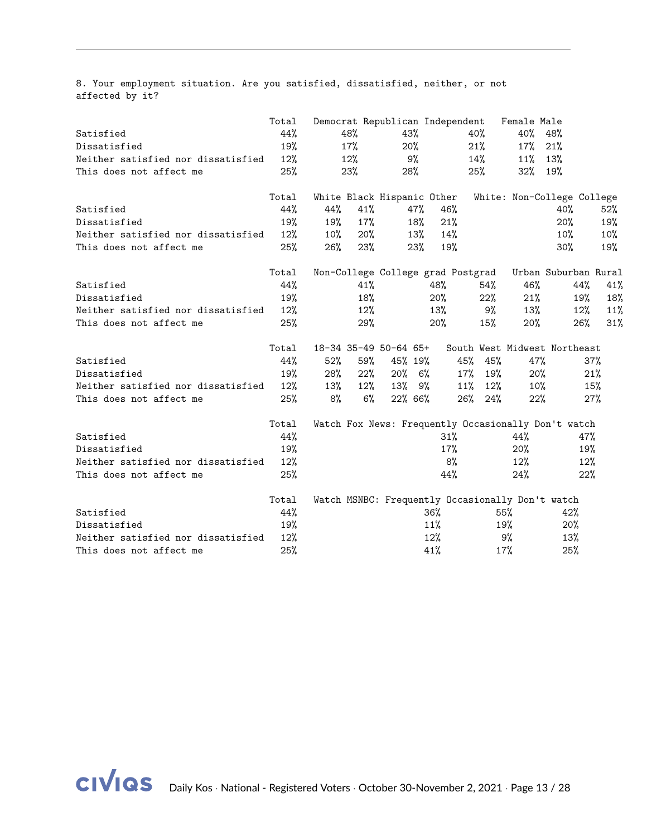8. Your employment situation. Are you satisfied, dissatisfied, neither, or not affected by it?

|                                    | Total |        |        | Democrat Republican Independent                  |               |     |           | Female Male |                                                     |        |
|------------------------------------|-------|--------|--------|--------------------------------------------------|---------------|-----|-----------|-------------|-----------------------------------------------------|--------|
| Satisfied                          | 44%   |        | 48%    | 43%                                              |               | 40% |           | 40%         | 48%                                                 |        |
| Dissatisfied                       | 19%   |        | 17%    | 20%                                              |               | 21% |           | 17%         | 21%                                                 |        |
| Neither satisfied nor dissatisfied | 12%   |        | $12\%$ | 9%                                               |               |     | 14%       | 11%         | 13%                                                 |        |
| This does not affect me            | 25%   |        | 23%    | 28%                                              |               | 25% |           | 32% 19%     |                                                     |        |
|                                    | Total |        |        | White Black Hispanic Other                       |               |     |           |             | White: Non-College College                          |        |
| Satisfied                          | 44%   | 44%    | 41%    | 47%                                              | 46%           |     |           |             | 40%                                                 | $52\%$ |
| Dissatisfied                       | 19%   | 19%    | 17%    | 18%                                              | 21%           |     |           |             | 20%                                                 | 19%    |
| Neither satisfied nor dissatisfied | 12%   | $10\%$ | 20%    |                                                  | $13\%$<br>14% |     |           |             | 10%                                                 | $10\%$ |
| This does not affect me            | 25%   | $26\%$ | 23%    | 23%                                              | 19%           |     |           |             | 30%                                                 | 19%    |
|                                    | Total |        |        | Non-College College grad Postgrad                |               |     |           |             | Urban Suburban Rural                                |        |
| Satisfied                          | 44%   |        | 41%    |                                                  | 48%           |     | 54%       | 46%         | 44%                                                 | 41%    |
| Dissatisfied                       | 19%   |        | 18%    |                                                  | 20%           |     | 22%       | 21%         | 19%                                                 | 18%    |
| Neither satisfied nor dissatisfied | 12%   |        | 12%    |                                                  | 13%           |     | 9%        | 13%         | $12\%$                                              | 11%    |
| This does not affect me            | 25%   |        | 29%    |                                                  | 20%           |     | 15%       | 20%         | 26%                                                 | 31%    |
|                                    | Total |        |        | 18-34 35-49 50-64 65+                            |               |     |           |             | South West Midwest Northeast                        |        |
| Satisfied                          | 44%   | 52%    | 59%    | 45% 19%                                          |               | 45% | 45%       | 47%         |                                                     | 37%    |
| Dissatisfied                       | 19%   | 28%    | 22%    | $20\%$ 6%                                        |               | 17% | 19%       | $20\%$      |                                                     | 21%    |
| Neither satisfied nor dissatisfied | 12%   | 13%    | $12\%$ | $13\%$ 9%                                        |               | 11% | $12\%$    | 10%         |                                                     | 15%    |
| This does not affect me            | 25%   | 8%     | $6\%$  | 22% 66%                                          |               |     | $26%$ 24% | 22%         |                                                     | 27%    |
|                                    | Total |        |        |                                                  |               |     |           |             | Watch Fox News: Frequently Occasionally Don't watch |        |
| Satisfied                          | 44%   |        |        |                                                  | 31%           |     |           | 44%         |                                                     | 47%    |
| Dissatisfied                       | 19%   |        |        |                                                  | 17%           |     |           | 20%         |                                                     | 19%    |
| Neither satisfied nor dissatisfied | 12%   |        |        |                                                  |               | 8%  |           | $12\%$      |                                                     | 12%    |
| This does not affect me            | 25%   |        |        |                                                  | 44%           |     |           | 24%         |                                                     | 22%    |
|                                    | Total |        |        | Watch MSNBC: Frequently Occasionally Don't watch |               |     |           |             |                                                     |        |
| Satisfied                          | 44%   |        |        |                                                  | 36%           |     | 55%       |             | 42%                                                 |        |
| Dissatisfied                       | 19%   |        |        |                                                  | 11%           |     |           | 19%         | 20%                                                 |        |
| Neither satisfied nor dissatisfied | 12%   |        |        |                                                  | 12%           |     |           | 9%          | 13%                                                 |        |
| This does not affect me            | 25%   |        |        |                                                  | 41%           |     | 17%       |             | 25%                                                 |        |

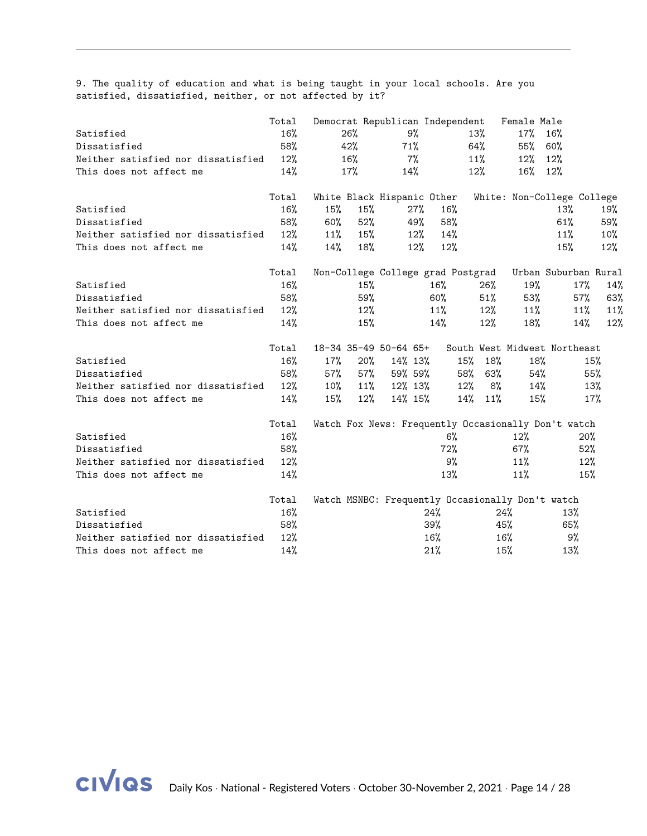9. The quality of education and what is being taught in your local schools. Are you satisfied, dissatisfied, neither, or not affected by it?

|                                    | Total  |        |        |                            |        | Democrat Republican Independent   |            | Female Male                                      |                                                     |     |
|------------------------------------|--------|--------|--------|----------------------------|--------|-----------------------------------|------------|--------------------------------------------------|-----------------------------------------------------|-----|
| Satisfied                          | 16%    |        | 26%    | 9%                         |        |                                   | 13%        | 17% 16%                                          |                                                     |     |
| Dissatisfied                       | 58%    |        | 42%    | 71%                        |        |                                   | 64%        | 55% 60%                                          |                                                     |     |
| Neither satisfied nor dissatisfied | $12\%$ |        | 16%    | 7%                         |        |                                   | $11\%$     | $12\%$                                           | 12%                                                 |     |
| This does not affect me            | 14%    |        | 17%    | 14%                        |        |                                   | 12%        | 16% 12%                                          |                                                     |     |
|                                    | Total  |        |        | White Black Hispanic Other |        |                                   |            |                                                  | White: Non-College College                          |     |
| Satisfied                          | 16%    | 15%    | 15%    |                            | 27%    | 16%                               |            |                                                  | 13%                                                 | 19% |
| Dissatisfied                       | 58%    | 60%    | 52%    |                            | 49%    | 58%                               |            |                                                  | 61%                                                 | 59% |
| Neither satisfied nor dissatisfied | $12\%$ | 11%    | 15%    |                            | $12\%$ | 14%                               |            |                                                  | 11%                                                 | 10% |
| This does not affect me            | 14%    | 14%    | 18%    |                            | $12\%$ | 12%                               |            |                                                  | 15%                                                 | 12% |
|                                    | Total  |        |        |                            |        | Non-College College grad Postgrad |            |                                                  | Urban Suburban Rural                                |     |
| Satisfied                          | 16%    |        | 15%    |                            |        | $16\%$                            | 26%        | 19%                                              | 17%                                                 | 14% |
| Dissatisfied                       | 58%    |        | 59%    |                            |        | $60\%$                            | 51%        | 53%                                              | 57%                                                 | 63% |
| Neither satisfied nor dissatisfied | 12%    |        | 12%    |                            |        | $11\%$                            | 12%        | 11%                                              | $11\%$                                              | 11% |
| This does not affect me            | 14%    |        | 15%    |                            |        | 14%                               | $12\%$     | 18%                                              | 14%                                                 | 12% |
|                                    | Total  |        |        | 18-34 35-49 50-64 65+      |        |                                   |            |                                                  | South West Midwest Northeast                        |     |
| Satisfied                          | $16\%$ | $17\%$ | $20\%$ | 14% 13%                    |        |                                   | 18%<br>15% | 18%                                              |                                                     | 15% |
| Dissatisfied                       | 58%    | 57%    | 57%    | 59% 59%                    |        |                                   | 58%<br>63% | 54%                                              |                                                     | 55% |
| Neither satisfied nor dissatisfied | $12\%$ | $10\%$ |        | 11% 12% 13%                |        |                                   | $12\%$ 8%  | 14%                                              |                                                     | 13% |
| This does not affect me            | 14%    | 15%    | $12\%$ | 14% 15%                    |        |                                   | 14% 11%    | 15%                                              |                                                     | 17% |
|                                    | Total  |        |        |                            |        |                                   |            |                                                  | Watch Fox News: Frequently Occasionally Don't watch |     |
| Satisfied                          | 16%    |        |        |                            |        | 6%                                |            | 12%                                              | 20%                                                 |     |
| Dissatisfied                       | 58%    |        |        |                            |        | 72%                               |            | 67%                                              | 52%                                                 |     |
| Neither satisfied nor dissatisfied | 12%    |        |        |                            |        | 9%                                |            | 11%                                              | 12%                                                 |     |
| This does not affect me            | 14%    |        |        |                            |        | 13%                               |            | $11\%$                                           | 15%                                                 |     |
|                                    | Total  |        |        |                            |        |                                   |            | Watch MSNBC: Frequently Occasionally Don't watch |                                                     |     |
| Satisfied                          | 16%    |        |        |                            |        | 24%                               |            | 24%                                              | 13%                                                 |     |
| Dissatisfied                       | 58%    |        |        |                            |        | 39%                               |            | 45%                                              | 65%                                                 |     |
| Neither satisfied nor dissatisfied | 12%    |        |        |                            |        | $16\%$                            |            | $16\%$                                           | 9%                                                  |     |
| This does not affect me            | 14%    |        |        |                            |        | 21%                               |            | 15%                                              | 13%                                                 |     |

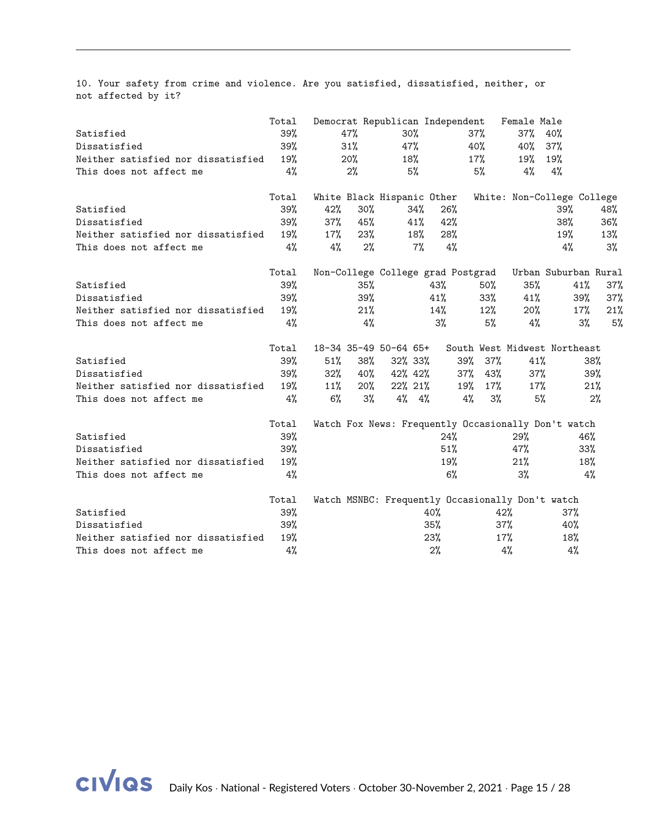10. Your safety from crime and violence. Are you satisfied, dissatisfied, neither, or not affected by it?

|                                    | Total |        |        |                       |     | Democrat Republican Independent                  |               | Female Male |                                                     |     |
|------------------------------------|-------|--------|--------|-----------------------|-----|--------------------------------------------------|---------------|-------------|-----------------------------------------------------|-----|
| Satisfied                          | 39%   |        | 47%    | $30\%$                |     |                                                  | 37%           | 37% 40%     |                                                     |     |
| Dissatisfied                       | 39%   |        | 31%    | 47%                   |     |                                                  | 40%           | 40%         | 37%                                                 |     |
| Neither satisfied nor dissatisfied | 19%   |        | 20%    | 18%                   |     |                                                  | 17%           | 19%         | 19%                                                 |     |
| This does not affect me            | 4%    |        | 2%     |                       | 5%  |                                                  | 5%            | 4%          | 4%                                                  |     |
|                                    | Total |        |        |                       |     | White Black Hispanic Other                       |               |             | White: Non-College College                          |     |
| Satisfied                          | 39%   | 42%    | 30%    |                       | 34% | 26%                                              |               |             | 39%                                                 | 48% |
| Dissatisfied                       | 39%   | 37%    | 45%    |                       | 41% | 42%                                              |               |             | 38%                                                 | 36% |
| Neither satisfied nor dissatisfied | 19%   | $17\%$ | 23%    |                       | 18% | 28%                                              |               |             | 19%                                                 | 13% |
| This does not affect me            | 4%    | 4%     | 2%     |                       | 7%  | 4%                                               |               |             | 4%                                                  | 3%  |
|                                    | Total |        |        |                       |     | Non-College College grad Postgrad                |               |             | Urban Suburban Rural                                |     |
| Satisfied                          | 39%   |        | 35%    |                       |     | 43%                                              | $50\%$        | 35%         | 41%                                                 | 37% |
| Dissatisfied                       | 39%   |        | 39%    |                       |     | 41%                                              | $33\%$        | 41%         | 39%                                                 | 37% |
| Neither satisfied nor dissatisfied | 19%   |        | 21%    |                       |     | $14\%$                                           | 12%           | $20\%$      | 17%                                                 | 21% |
| This does not affect me            | 4%    |        | 4%     |                       |     | 3%                                               | 5%            | $4\%$       | 3%                                                  | 5%  |
|                                    | Total |        |        | 18-34 35-49 50-64 65+ |     |                                                  |               |             | South West Midwest Northeast                        |     |
| Satisfied                          | 39%   | 51%    | 38%    | 32% 33%               |     |                                                  | 39%<br>$37\%$ | 41%         |                                                     | 38% |
| Dissatisfied                       | 39%   | 32%    | $40\%$ | 42% 42%               |     |                                                  | $37\%$<br>43% | $37\%$      |                                                     | 39% |
| Neither satisfied nor dissatisfied | 19%   | $11\%$ | $20\%$ | 22% 21%               |     |                                                  | 19%<br>$17\%$ | $17\%$      |                                                     | 21% |
| This does not affect me            | 4%    | $6\%$  | 3%     | $4\%$ $4\%$           |     |                                                  | 4%<br>3%      | 5%          |                                                     | 2%  |
|                                    | Total |        |        |                       |     |                                                  |               |             | Watch Fox News: Frequently Occasionally Don't watch |     |
| Satisfied                          | 39%   |        |        |                       |     | 24%                                              |               | 29%         | 46%                                                 |     |
| Dissatisfied                       | 39%   |        |        |                       |     | 51%                                              |               | 47%         | 33%                                                 |     |
| Neither satisfied nor dissatisfied | 19%   |        |        |                       |     | 19%                                              |               | 21%         | 18%                                                 |     |
| This does not affect me            | 4%    |        |        |                       |     | $6\%$                                            |               | $3\%$       |                                                     | 4%  |
|                                    | Total |        |        |                       |     | Watch MSNBC: Frequently Occasionally Don't watch |               |             |                                                     |     |
| Satisfied                          | 39%   |        |        |                       |     | 40%                                              |               | 42%         | 37%                                                 |     |
| Dissatisfied                       | 39%   |        |        |                       |     | $35\%$                                           |               | 37%         | 40%                                                 |     |
| Neither satisfied nor dissatisfied | 19%   |        |        |                       |     | 23%                                              |               | $17\%$      | 18%                                                 |     |
| This does not affect me            | 4%    |        |        |                       |     | 2%                                               |               | 4%          | 4%                                                  |     |

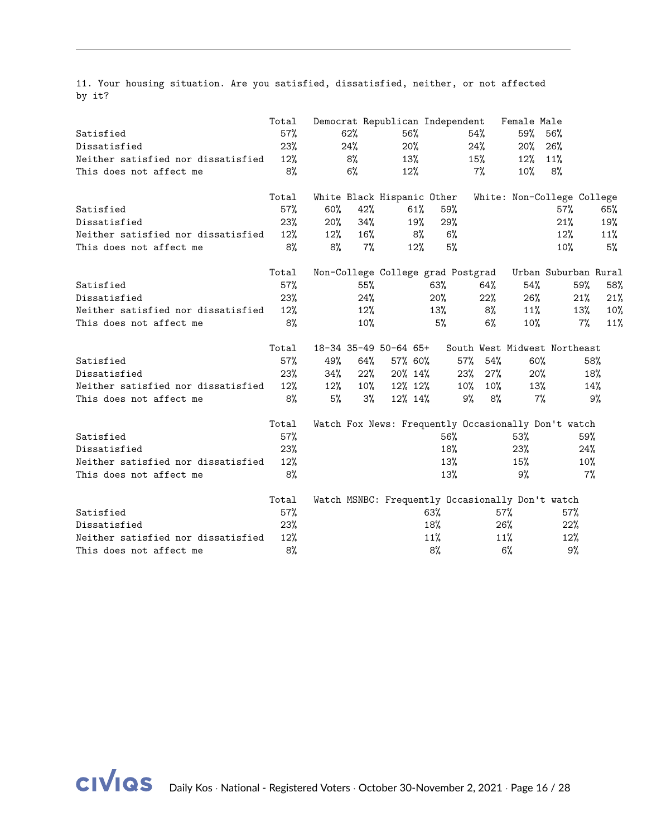11. Your housing situation. Are you satisfied, dissatisfied, neither, or not affected by it?

|                                    | Total |        |        |                            |     | Democrat Republican Independent                  |        | Female Male |                                                     |       |
|------------------------------------|-------|--------|--------|----------------------------|-----|--------------------------------------------------|--------|-------------|-----------------------------------------------------|-------|
| Satisfied                          | 57%   |        | 62%    | 56%                        |     |                                                  | 54%    | 59%         | 56%                                                 |       |
| Dissatisfied                       | 23%   |        | 24%    | 20%                        |     |                                                  | 24%    | 20%         | 26%                                                 |       |
| Neither satisfied nor dissatisfied | 12%   |        | 8%     | 13%                        |     |                                                  | 15%    | 12%         | 11%                                                 |       |
| This does not affect me            | 8%    |        | $6\%$  | 12%                        |     |                                                  | 7%     | $10\%$      | 8%                                                  |       |
|                                    | Total |        |        | White Black Hispanic Other |     |                                                  |        |             | White: Non-College College                          |       |
| Satisfied                          | 57%   | 60%    | 42%    |                            | 61% | 59%                                              |        |             | 57%                                                 | 65%   |
| Dissatisfied                       | 23%   | 20%    | 34%    |                            | 19% | 29%                                              |        |             | 21%                                                 | 19%   |
| Neither satisfied nor dissatisfied | 12%   | $12\%$ | 16%    |                            | 8%  | 6%                                               |        |             | 12%                                                 | 11%   |
| This does not affect me            | 8%    | 8%     | 7%     |                            | 12% | 5%                                               |        |             | 10%                                                 | 5%    |
|                                    | Total |        |        |                            |     | Non-College College grad Postgrad                |        |             | Urban Suburban Rural                                |       |
| Satisfied                          | 57%   |        | 55%    |                            |     | 63%                                              | 64%    | 54%         | 59%                                                 | 58%   |
| Dissatisfied                       | 23%   |        | 24%    |                            |     | 20%                                              | 22%    | $26\%$      | 21%                                                 | 21%   |
| Neither satisfied nor dissatisfied | 12%   |        | 12%    |                            |     | 13%                                              | 8%     | 11%         | 13%                                                 | 10%   |
| This does not affect me            | 8%    |        | 10%    |                            |     | 5%                                               | $6\%$  | $10\%$      | 7%                                                  | 11%   |
|                                    | Total |        |        | 18-34 35-49 50-64 65+      |     |                                                  |        |             | South West Midwest Northeast                        |       |
| Satisfied                          | 57%   | 49%    | 64%    | 57% 60%                    |     | 57%                                              | 54%    | $60\%$      |                                                     | 58%   |
| Dissatisfied                       | 23%   | 34%    | $22\%$ | 20% 14%                    |     | $23\%$                                           | 27%    | 20%         |                                                     | 18%   |
| Neither satisfied nor dissatisfied | 12%   | $12\%$ | $10\%$ | 12% 12%                    |     | $10\%$                                           | $10\%$ | 13%         |                                                     | 14%   |
| This does not affect me            | 8%    | 5%     | 3%     | 12% 14%                    |     | 9%                                               | 8%     | $7\%$       |                                                     | 9%    |
|                                    | Total |        |        |                            |     |                                                  |        |             | Watch Fox News: Frequently Occasionally Don't watch |       |
| Satisfied                          | 57%   |        |        |                            |     | 56%                                              |        | 53%         | 59%                                                 |       |
| Dissatisfied                       | 23%   |        |        |                            |     | 18%                                              |        | 23%         | 24%                                                 |       |
| Neither satisfied nor dissatisfied | 12%   |        |        |                            |     | 13%                                              |        | 15%         | 10%                                                 |       |
| This does not affect me            | 8%    |        |        |                            |     | 13%                                              |        | 9%          |                                                     | $7\%$ |
|                                    | Total |        |        |                            |     | Watch MSNBC: Frequently Occasionally Don't watch |        |             |                                                     |       |
| Satisfied                          | 57%   |        |        |                            |     | 63%                                              |        | $57\%$      | 57%                                                 |       |
| Dissatisfied                       | 23%   |        |        |                            |     | 18%                                              |        | 26%         | 22%                                                 |       |
| Neither satisfied nor dissatisfied | 12%   |        |        |                            |     | 11%                                              |        | 11%         | 12%                                                 |       |
| This does not affect me            | 8%    |        |        |                            |     | 8%                                               |        | $6\%$       | 9%                                                  |       |

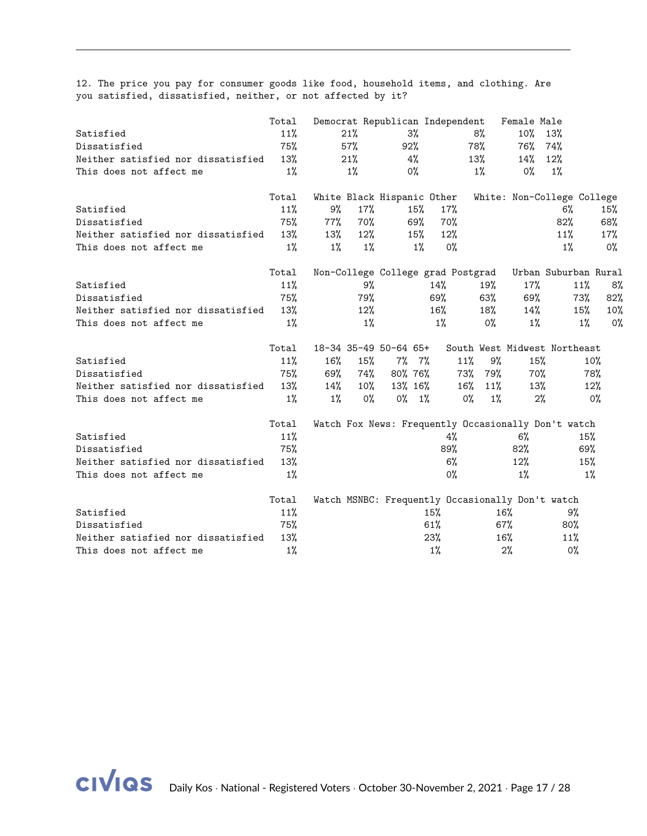12. The price you pay for consumer goods like food, household items, and clothing. Are you satisfied, dissatisfied, neither, or not affected by it?

|                                    | Total |        |        | Democrat Republican Independent                  |        |       |       | Female Male |                                                     |        |
|------------------------------------|-------|--------|--------|--------------------------------------------------|--------|-------|-------|-------------|-----------------------------------------------------|--------|
| Satisfied                          | 11%   |        | 21%    | 3%                                               |        |       | 8%    | $10\%$      | 13%                                                 |        |
| Dissatisfied                       | 75%   |        | 57%    | 92%                                              |        |       | 78%   | 76%         | 74%                                                 |        |
| Neither satisfied nor dissatisfied | 13%   |        | 21%    | 4%                                               |        |       | 13%   | 14%         | 12%                                                 |        |
| This does not affect me            | $1\%$ |        | $1\%$  | $0\%$                                            |        |       | $1\%$ | $0\%$       | $1\%$                                               |        |
|                                    | Total |        |        | White Black Hispanic Other                       |        |       |       |             | White: Non-College College                          |        |
| Satisfied                          | 11%   | 9%     | 17%    | 15%                                              |        | 17%   |       |             | 6%                                                  | 15%    |
| Dissatisfied                       | 75%   | 77%    | 70%    | 69%                                              |        | 70%   |       |             | 82%                                                 | 68%    |
| Neither satisfied nor dissatisfied | 13%   | 13%    | 12%    | 15%                                              |        | 12%   |       |             | 11%                                                 | $17\%$ |
| This does not affect me            | $1\%$ | $1\%$  | $1\%$  |                                                  | $1\%$  | $0\%$ |       |             | $1\%$                                               | 0%     |
|                                    | Total |        |        | Non-College College grad Postgrad                |        |       |       |             | Urban Suburban Rural                                |        |
| Satisfied                          | 11%   |        | 9%     |                                                  | 14%    |       | 19%   | 17%         | 11%                                                 | 8%     |
| Dissatisfied                       | 75%   |        | 79%    |                                                  | 69%    |       | 63%   | 69%         | 73%                                                 | 82%    |
| Neither satisfied nor dissatisfied | 13%   |        | 12%    |                                                  | $16\%$ |       | 18%   | $14\%$      | 15%                                                 | 10%    |
| This does not affect me            | 1%    |        | $1\%$  |                                                  | $1\%$  |       | $0\%$ | $1\%$       | $1\%$                                               | 0%     |
|                                    | Total |        |        | 18-34 35-49 50-64 65+                            |        |       |       |             | South West Midwest Northeast                        |        |
| Satisfied                          | 11%   | $16\%$ | 15%    | $7\%$ 7%                                         |        | 11%   | 9%    | 15%         |                                                     | $10\%$ |
| Dissatisfied                       | 75%   | 69%    | 74%    | 80% 76%                                          |        | 73%   | 79%   | 70%         |                                                     | 78%    |
| Neither satisfied nor dissatisfied | 13%   | $14\%$ | $10\%$ | 13% 16%                                          |        | 16%   | 11%   | 13%         |                                                     | 12%    |
| This does not affect me            | $1\%$ | $1\%$  | $0\%$  | $0\% - 1\%$                                      |        | 0%    | $1\%$ | 2%          |                                                     | $0\%$  |
|                                    | Total |        |        |                                                  |        |       |       |             | Watch Fox News: Frequently Occasionally Don't watch |        |
| Satisfied                          | 11%   |        |        |                                                  |        | 4%    |       | $6\%$       |                                                     | 15%    |
| Dissatisfied                       | 75%   |        |        |                                                  |        | 89%   |       | $82\%$      |                                                     | 69%    |
| Neither satisfied nor dissatisfied | 13%   |        |        |                                                  |        | $6\%$ |       | 12%         |                                                     | 15%    |
| This does not affect me            | $1\%$ |        |        |                                                  |        | $0\%$ |       | $1\%$       |                                                     | $1\%$  |
|                                    | Total |        |        | Watch MSNBC: Frequently Occasionally Don't watch |        |       |       |             |                                                     |        |
| Satisfied                          | 11%   |        |        |                                                  | 15%    |       | 16%   |             | 9%                                                  |        |
| Dissatisfied                       | 75%   |        |        |                                                  | 61%    |       |       | 67%         | 80%                                                 |        |
| Neither satisfied nor dissatisfied | 13%   |        |        |                                                  | 23%    |       | 16%   |             | 11%                                                 |        |
| This does not affect me            | $1\%$ |        |        |                                                  | 1%     |       |       | 2%          | 0%                                                  |        |

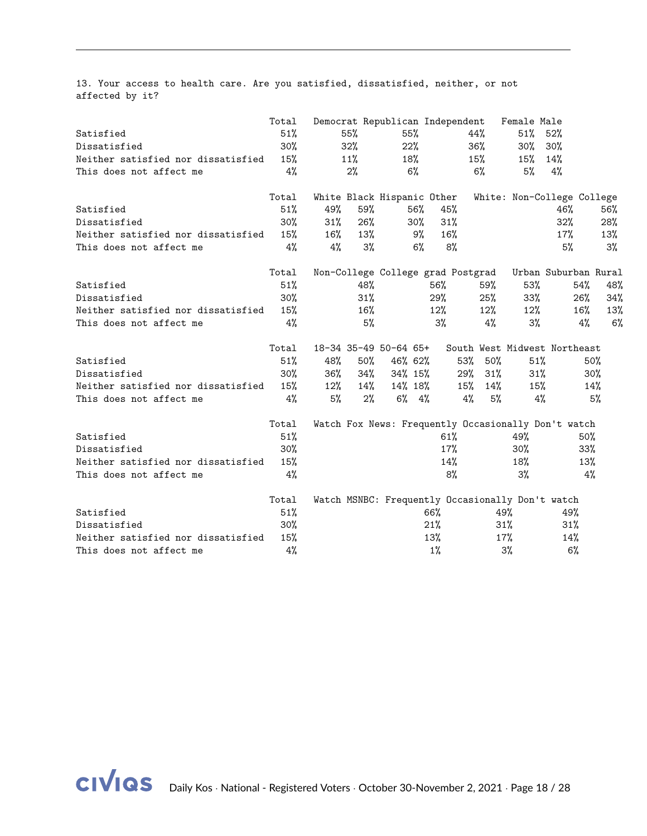13. Your access to health care. Are you satisfied, dissatisfied, neither, or not affected by it?

|                                    | Total  |        |        | Democrat Republican Independent                  |           |     |        | Female Male |                                                     |        |
|------------------------------------|--------|--------|--------|--------------------------------------------------|-----------|-----|--------|-------------|-----------------------------------------------------|--------|
| Satisfied                          | 51%    |        | 55%    | 55%                                              |           | 44% |        | $51\%$      | 52%                                                 |        |
| Dissatisfied                       | 30%    |        | 32%    | 22%                                              |           | 36% |        | $30\%$      | $30\%$                                              |        |
| Neither satisfied nor dissatisfied | 15%    |        | 11%    | 18%                                              |           | 15% |        | 15%         | 14%                                                 |        |
| This does not affect me            | 4%     |        | 2%     | 6%                                               |           |     | 6%     | 5%          | 4%                                                  |        |
|                                    | Total  |        |        | White Black Hispanic Other                       |           |     |        |             | White: Non-College College                          |        |
| Satisfied                          | 51%    | 49%    | 59%    | 56%                                              | 45%       |     |        |             | 46%                                                 | 56%    |
| Dissatisfied                       | 30%    | 31%    | 26%    | $30\%$                                           | 31%       |     |        |             | 32%                                                 | 28%    |
| Neither satisfied nor dissatisfied | 15%    | $16\%$ | 13%    |                                                  | 16%<br>9% |     |        |             | $17\%$                                              | 13%    |
| This does not affect me            | 4%     | 4%     | 3%     |                                                  | $6\%$     | 8%  |        |             | 5%                                                  | 3%     |
|                                    | Total  |        |        | Non-College College grad Postgrad                |           |     |        |             | Urban Suburban Rural                                |        |
| Satisfied                          | 51%    |        | 48%    |                                                  | 56%       |     | 59%    | 53%         | 54%                                                 | 48%    |
| Dissatisfied                       | 30%    |        | 31%    |                                                  | 29%       |     | 25%    | $33\%$      | 26%                                                 | 34%    |
| Neither satisfied nor dissatisfied | 15%    |        | 16%    |                                                  | $12\%$    |     | 12%    | $12\%$      | $16\%$                                              | 13%    |
| This does not affect me            | 4%     |        | 5%     |                                                  | $3\%$     |     | 4%     | $3\%$       | 4%                                                  | 6%     |
|                                    | Total  |        |        | 18-34 35-49 50-64 65+                            |           |     |        |             | South West Midwest Northeast                        |        |
| Satisfied                          | 51%    | 48%    | $50\%$ | 46% 62%                                          |           | 53% | $50\%$ | 51%         |                                                     | 50%    |
| Dissatisfied                       | $30\%$ | 36%    | 34%    | 34% 15%                                          |           | 29% | $31\%$ | 31%         |                                                     | $30\%$ |
| Neither satisfied nor dissatisfied | 15%    | $12\%$ | 14%    | 14% 18%                                          |           | 15% | 14%    | 15%         |                                                     | 14%    |
| This does not affect me            | 4%     | 5%     | 2%     | $6\%$ $4\%$                                      |           | 4%  | 5%     | 4%          |                                                     | 5%     |
|                                    | Total  |        |        |                                                  |           |     |        |             | Watch Fox News: Frequently Occasionally Don't watch |        |
| Satisfied                          | 51%    |        |        |                                                  | 61%       |     |        | 49%         | 50%                                                 |        |
| Dissatisfied                       | 30%    |        |        |                                                  |           | 17% |        | $30\%$      | $33\%$                                              |        |
| Neither satisfied nor dissatisfied | 15%    |        |        |                                                  |           | 14% |        | 18%         |                                                     | 13%    |
| This does not affect me            | 4%     |        |        |                                                  |           | 8%  |        | 3%          |                                                     | 4%     |
|                                    | Total  |        |        | Watch MSNBC: Frequently Occasionally Don't watch |           |     |        |             |                                                     |        |
| Satisfied                          | 51%    |        |        |                                                  | 66%       |     | 49%    |             | 49%                                                 |        |
| Dissatisfied                       | 30%    |        |        |                                                  | 21%       |     | $31\%$ |             | 31%                                                 |        |
| Neither satisfied nor dissatisfied | 15%    |        |        |                                                  | 13%       |     | $17\%$ |             | 14%                                                 |        |
| This does not affect me            | 4%     |        |        |                                                  | 1%        |     |        | 3%          | 6%                                                  |        |

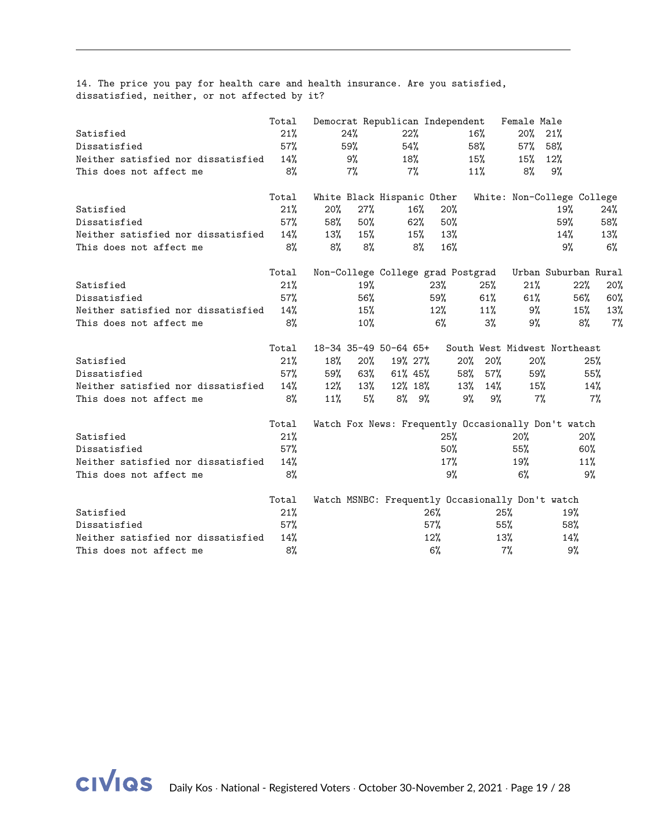|  |                                               |  |  |  |  | 14. The price you pay for health care and health insurance. Are you satisfied, |  |  |
|--|-----------------------------------------------|--|--|--|--|--------------------------------------------------------------------------------|--|--|
|  | dissatisfied, neither, or not affected by it? |  |  |  |  |                                                                                |  |  |

|                                    | Total |        |     |                            |        | Democrat Republican Independent |                                   | Female Male |                                                     |       |
|------------------------------------|-------|--------|-----|----------------------------|--------|---------------------------------|-----------------------------------|-------------|-----------------------------------------------------|-------|
| Satisfied                          | 21%   |        | 24% | 22%                        |        |                                 | $16\%$                            | $20\%$      | 21%                                                 |       |
| Dissatisfied                       | 57%   |        | 59% | 54%                        |        |                                 | 58%                               | $57\%$      | 58%                                                 |       |
| Neither satisfied nor dissatisfied | 14%   |        | 9%  | 18%                        |        |                                 | 15%                               | $15\%$      | 12%                                                 |       |
| This does not affect me            | 8%    |        | 7%  |                            | 7%     |                                 | 11%                               | 8%          | 9%                                                  |       |
|                                    | Total |        |     | White Black Hispanic Other |        |                                 |                                   |             | White: Non-College College                          |       |
| Satisfied                          | 21%   | 20%    | 27% |                            | $16\%$ | 20%                             |                                   |             | 19%                                                 | 24%   |
| Dissatisfied                       | 57%   | 58%    | 50% |                            | 62%    | 50%                             |                                   |             | 59%                                                 | 58%   |
| Neither satisfied nor dissatisfied | 14%   | 13%    | 15% |                            | 15%    | 13%                             |                                   |             | 14%                                                 | 13%   |
| This does not affect me            | 8%    | 8%     | 8%  |                            | 8%     | 16%                             |                                   |             | 9%                                                  | 6%    |
|                                    | Total |        |     |                            |        |                                 | Non-College College grad Postgrad |             | Urban Suburban Rural                                |       |
| Satisfied                          | 21%   |        | 19% |                            |        | 23%                             | $25\%$                            | 21%         | 22%                                                 | 20%   |
| Dissatisfied                       | 57%   |        | 56% |                            |        | 59%                             | 61%                               | 61%         | 56%                                                 | 60%   |
| Neither satisfied nor dissatisfied | 14%   |        | 15% |                            |        | $12\%$                          | 11%                               | 9%          | 15%                                                 | 13%   |
| This does not affect me            | 8%    |        | 10% |                            |        | $6\%$                           | $3\%$                             | 9%          | 8%                                                  | $7\%$ |
|                                    | Total |        |     | 18-34 35-49 50-64 65+      |        |                                 |                                   |             | South West Midwest Northeast                        |       |
| Satisfied                          | 21%   | 18%    | 20% | 19% 27%                    |        |                                 | 20% 20%                           | 20%         |                                                     | 25%   |
| Dissatisfied                       | 57%   | 59%    | 63% | $61\%$ 45%                 |        |                                 | 57%<br>58%                        | 59%         |                                                     | 55%   |
| Neither satisfied nor dissatisfied | 14%   | $12\%$ | 13% | 12% 18%                    |        |                                 | 14%<br>13%                        | 15%         |                                                     | 14%   |
| This does not affect me            | 8%    | 11%    | 5%  | $8\%$ $9\%$                |        |                                 | 9%<br>9%                          | 7%          |                                                     | $7\%$ |
|                                    | Total |        |     |                            |        |                                 |                                   |             | Watch Fox News: Frequently Occasionally Don't watch |       |
| Satisfied                          | 21%   |        |     |                            |        | 25%                             |                                   | 20%         | 20%                                                 |       |
| Dissatisfied                       | 57%   |        |     |                            |        | $50\%$                          |                                   | 55%         | 60%                                                 |       |
| Neither satisfied nor dissatisfied | 14%   |        |     |                            |        | $17\%$                          |                                   | 19%         | 11%                                                 |       |
| This does not affect me            | 8%    |        |     |                            |        | 9%                              |                                   | 6%          |                                                     | 9%    |
|                                    | Total |        |     |                            |        |                                 |                                   |             | Watch MSNBC: Frequently Occasionally Don't watch    |       |
| Satisfied                          | 21%   |        |     |                            |        | $26\%$                          |                                   | $25\%$      | 19%                                                 |       |
| Dissatisfied                       | 57%   |        |     |                            |        | $57\%$                          |                                   | 55%         | 58%                                                 |       |
| Neither satisfied nor dissatisfied | 14%   |        |     |                            |        | 12%                             |                                   | 13%         | 14%                                                 |       |
| This does not affect me            | 8%    |        |     |                            |        | $6\%$                           |                                   | $7\%$       | 9%                                                  |       |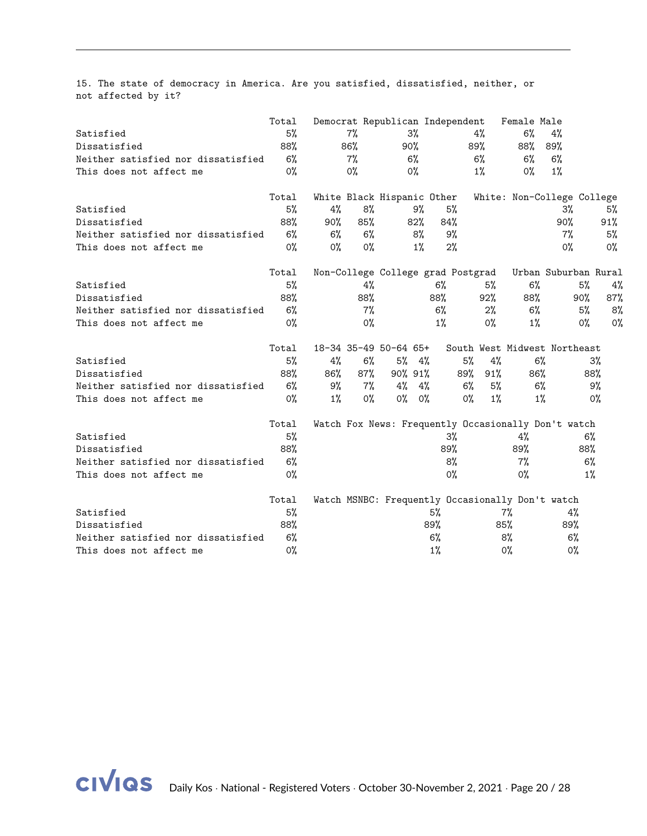15. The state of democracy in America. Are you satisfied, dissatisfied, neither, or not affected by it?

|                                    | Total |       |       |                            |        | Democrat Republican Independent |                                                  | Female Male |                                                     |       |
|------------------------------------|-------|-------|-------|----------------------------|--------|---------------------------------|--------------------------------------------------|-------------|-----------------------------------------------------|-------|
| Satisfied                          | 5%    |       | $7\%$ |                            | 3%     |                                 | 4%                                               | 6%          | 4%                                                  |       |
| Dissatisfied                       | 88%   |       | 86%   | 90%                        |        |                                 | 89%                                              | 88%         | 89%                                                 |       |
| Neither satisfied nor dissatisfied | 6%    |       | $7\%$ |                            | 6%     |                                 | $6\%$                                            | $6\%$       | 6%                                                  |       |
| This does not affect me            | $0\%$ |       | 0%    |                            | $0\%$  |                                 | $1\%$                                            | 0%          | $1\%$                                               |       |
|                                    | Total |       |       | White Black Hispanic Other |        |                                 |                                                  |             | White: Non-College College                          |       |
| Satisfied                          | 5%    | 4%    | 8%    |                            | 9%     | 5%                              |                                                  |             | 3%                                                  | 5%    |
| Dissatisfied                       | 88%   | 90%   | 85%   |                            | $82\%$ | 84%                             |                                                  |             | 90%                                                 | 91%   |
| Neither satisfied nor dissatisfied | $6\%$ | $6\%$ | 6%    |                            | 8%     | 9%                              |                                                  |             | $7\%$                                               | 5%    |
| This does not affect me            | $0\%$ | $0\%$ | $0\%$ |                            | $1\%$  | 2%                              |                                                  |             | $0\%$                                               | 0%    |
|                                    | Total |       |       |                            |        |                                 | Non-College College grad Postgrad                |             | Urban Suburban Rural                                |       |
| Satisfied                          | 5%    |       | 4%    |                            |        | $6\%$                           | 5%                                               | 6%          | 5%                                                  | 4%    |
| Dissatisfied                       | 88%   |       | 88%   |                            |        | 88%                             | 92%                                              | 88%         | 90%                                                 | 87%   |
| Neither satisfied nor dissatisfied | $6\%$ |       | $7\%$ |                            |        | 6%                              | $2\%$                                            | $6\%$       | 5%                                                  | 8%    |
| This does not affect me            | $0\%$ |       | $0\%$ |                            |        | 1%                              | $0\%$                                            | 1%          | $0\%$                                               | $0\%$ |
|                                    | Total |       |       | 18-34 35-49 50-64 65+      |        |                                 |                                                  |             | South West Midwest Northeast                        |       |
| Satisfied                          | 5%    | 4%    | 6%    | $5\%$ 4%                   |        |                                 | 5%<br>4%                                         | 6%          |                                                     | $3\%$ |
| Dissatisfied                       | 88%   | 86%   | 87%   | 90% 91%                    |        |                                 | 89%<br>91%                                       | 86%         |                                                     | 88%   |
| Neither satisfied nor dissatisfied | 6%    | 9%    | 7%    | $4\%$ $4\%$                |        |                                 | 5%<br>6%                                         | $6\%$       |                                                     | 9%    |
| This does not affect me            | $0\%$ | $1\%$ | $0\%$ | $0\%$ 0%                   |        |                                 | $0\%$<br>1%                                      | 1%          |                                                     | $0\%$ |
|                                    | Total |       |       |                            |        |                                 |                                                  |             | Watch Fox News: Frequently Occasionally Don't watch |       |
| Satisfied                          | 5%    |       |       |                            |        | 3%                              |                                                  | 4%          |                                                     | $6\%$ |
| Dissatisfied                       | 88%   |       |       |                            |        | 89%                             |                                                  | 89%         | 88%                                                 |       |
| Neither satisfied nor dissatisfied | 6%    |       |       |                            |        | 8%                              |                                                  | 7%          |                                                     | 6%    |
| This does not affect me            | 0%    |       |       |                            |        | $0\%$                           |                                                  | $0\%$       |                                                     | 1%    |
|                                    | Total |       |       |                            |        |                                 | Watch MSNBC: Frequently Occasionally Don't watch |             |                                                     |       |
| Satisfied                          | 5%    |       |       |                            |        | 5%                              |                                                  | 7%          | 4%                                                  |       |
| Dissatisfied                       | 88%   |       |       |                            |        | 89%                             |                                                  | 85%         | 89%                                                 |       |
| Neither satisfied nor dissatisfied | 6%    |       |       |                            |        | 6%                              |                                                  | 8%          | 6%                                                  |       |
| This does not affect me            | 0%    |       |       |                            |        | 1%                              |                                                  | 0%          | 0%                                                  |       |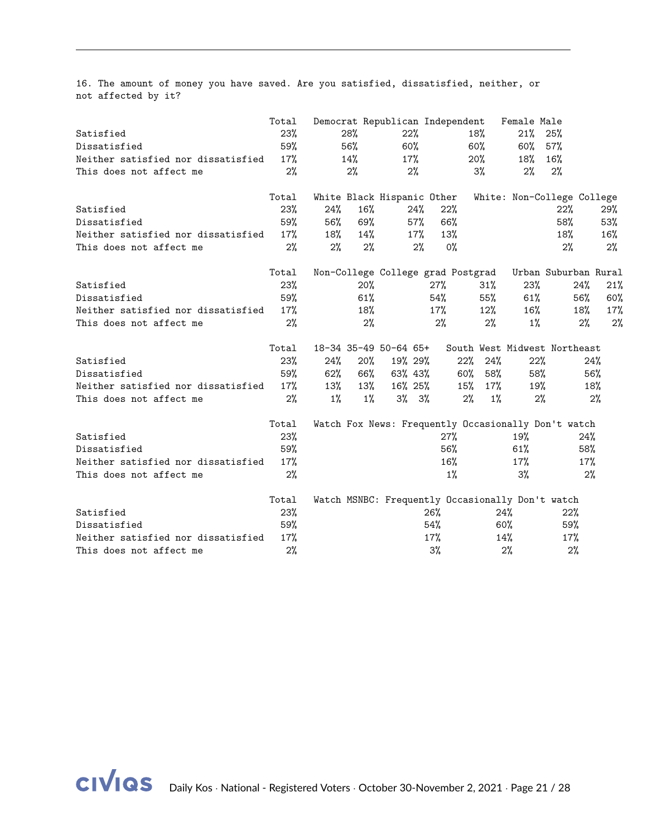16. The amount of money you have saved. Are you satisfied, dissatisfied, neither, or not affected by it?

|                                    | Total |        |       |                       |        | Democrat Republican Independent                  |             | Female Male |                                                     |        |
|------------------------------------|-------|--------|-------|-----------------------|--------|--------------------------------------------------|-------------|-------------|-----------------------------------------------------|--------|
| Satisfied                          | 23%   |        | 28%   | 22%                   |        |                                                  | 18%         | 21%         | 25%                                                 |        |
| Dissatisfied                       | 59%   |        | 56%   | 60%                   |        |                                                  | $60\%$      | $60\%$      | 57%                                                 |        |
| Neither satisfied nor dissatisfied | 17%   |        | 14%   | $17\%$                |        |                                                  | $20\%$      | 18%         | 16%                                                 |        |
| This does not affect me            | 2%    |        | 2%    |                       | 2%     |                                                  | 3%          | 2%          | 2%                                                  |        |
|                                    | Total |        |       |                       |        | White Black Hispanic Other                       |             |             | White: Non-College College                          |        |
| Satisfied                          | 23%   | 24%    | 16%   |                       | $24\%$ | 22%                                              |             |             | 22%                                                 | 29%    |
| Dissatisfied                       | 59%   | 56%    | 69%   |                       | 57%    | 66%                                              |             |             | 58%                                                 | 53%    |
| Neither satisfied nor dissatisfied | 17%   | 18%    | 14%   |                       | 17%    | 13%                                              |             |             | 18%                                                 | $16\%$ |
| This does not affect me            | 2%    | 2%     | 2%    |                       | 2%     | $0\%$                                            |             |             | 2%                                                  | 2%     |
|                                    | Total |        |       |                       |        | Non-College College grad Postgrad                |             |             | Urban Suburban Rural                                |        |
| Satisfied                          | 23%   |        | 20%   |                       |        | 27%                                              | $31\%$      | 23%         | 24%                                                 | 21%    |
| Dissatisfied                       | 59%   |        | 61%   |                       |        | 54%                                              | 55%         | 61%         | 56%                                                 | 60%    |
| Neither satisfied nor dissatisfied | 17%   |        | 18%   |                       |        | 17%                                              | 12%         | $16\%$      | 18%                                                 | 17%    |
| This does not affect me            | 2%    |        | 2%    |                       |        | 2%                                               | $2\%$       | $1\%$       | 2%                                                  | 2%     |
|                                    | Total |        |       | 18-34 35-49 50-64 65+ |        |                                                  |             |             | South West Midwest Northeast                        |        |
| Satisfied                          | 23%   | 24%    | 20%   | 19% 29%               |        | $22\%$                                           | 24%         | 22%         |                                                     | 24%    |
| Dissatisfied                       | 59%   | $62\%$ | 66%   | 63% 43%               |        | 60%                                              | 58%         | 58%         |                                                     | 56%    |
| Neither satisfied nor dissatisfied | 17%   | 13%    | 13%   | 16% 25%               |        | 15%                                              | 17%         | 19%         |                                                     | 18%    |
| This does not affect me            | 2%    | $1\%$  | $1\%$ | $3\%$ $3\%$           |        |                                                  | 2%<br>$1\%$ | 2%          |                                                     | 2%     |
|                                    | Total |        |       |                       |        |                                                  |             |             | Watch Fox News: Frequently Occasionally Don't watch |        |
| Satisfied                          | 23%   |        |       |                       |        | 27%                                              |             | 19%         | 24%                                                 |        |
| Dissatisfied                       | 59%   |        |       |                       |        | 56%                                              |             | 61%         | 58%                                                 |        |
| Neither satisfied nor dissatisfied | 17%   |        |       |                       |        | $16\%$                                           |             | 17%         | 17%                                                 |        |
| This does not affect me            | 2%    |        |       |                       |        | $1\%$                                            |             | 3%          |                                                     | 2%     |
|                                    | Total |        |       |                       |        | Watch MSNBC: Frequently Occasionally Don't watch |             |             |                                                     |        |
| Satisfied                          | 23%   |        |       |                       |        | 26%                                              |             | 24%         | 22%                                                 |        |
| Dissatisfied                       | 59%   |        |       |                       |        | 54%                                              |             | $60\%$      | 59%                                                 |        |
| Neither satisfied nor dissatisfied | 17%   |        |       |                       |        | 17%                                              |             | 14%         | 17%                                                 |        |
| This does not affect me            | 2%    |        |       |                       |        | 3%                                               |             | 2%          | 2%                                                  |        |

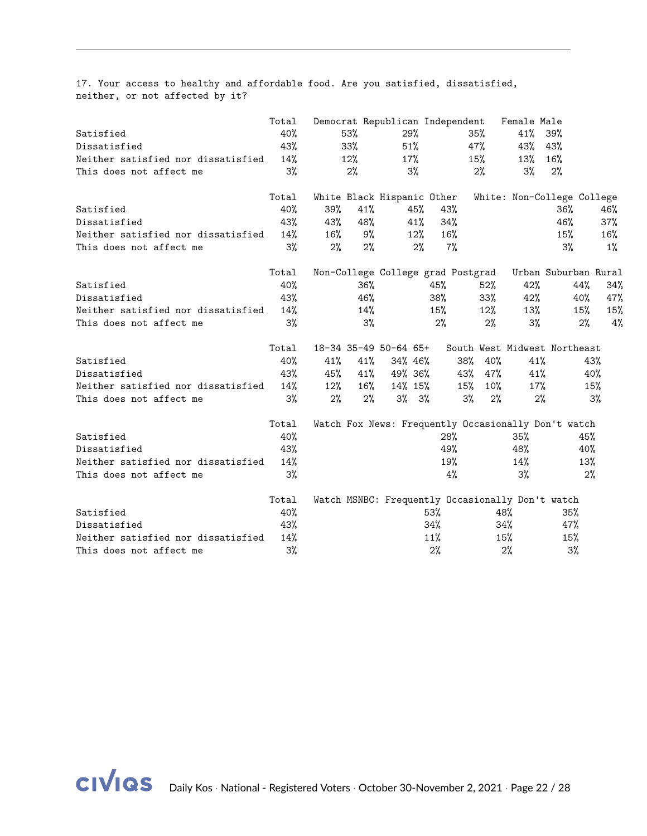17. Your access to healthy and affordable food. Are you satisfied, dissatisfied, neither, or not affected by it?

|                                    | Total |        |     | Democrat Republican Independent                  |            |       |        | Female Male |                                                     |       |
|------------------------------------|-------|--------|-----|--------------------------------------------------|------------|-------|--------|-------------|-----------------------------------------------------|-------|
| Satisfied                          | 40%   |        | 53% | 29%                                              |            |       | 35%    | 41%         | 39%                                                 |       |
| Dissatisfied                       | 43%   |        | 33% | 51%                                              |            |       | 47%    | 43%         | 43%                                                 |       |
| Neither satisfied nor dissatisfied | 14%   |        | 12% | 17%                                              |            |       | 15%    | 13%         | 16%                                                 |       |
| This does not affect me            | 3%    |        | 2%  | 3%                                               |            |       | $2\%$  | 3%          | 2%                                                  |       |
|                                    | Total |        |     | White Black Hispanic Other                       |            |       |        |             | White: Non-College College                          |       |
| Satisfied                          | 40%   | 39%    | 41% |                                                  | 45%<br>43% |       |        |             | 36%                                                 | 46%   |
| Dissatisfied                       | 43%   | 43%    | 48% |                                                  | 41%        | 34%   |        |             | 46%                                                 | 37%   |
| Neither satisfied nor dissatisfied | 14%   | 16%    | 9%  |                                                  | 12%        | 16%   |        |             | $15\%$                                              | 16%   |
| This does not affect me            | 3%    | 2%     | 2%  |                                                  | 2%         | $7\%$ |        |             | 3%                                                  | $1\%$ |
|                                    | Total |        |     | Non-College College grad Postgrad                |            |       |        |             | Urban Suburban Rural                                |       |
| Satisfied                          | 40%   |        | 36% |                                                  | 45%        |       | $52\%$ | 42%         | 44%                                                 | 34%   |
| Dissatisfied                       | 43%   |        | 46% |                                                  | 38%        |       | $33\%$ | 42%         | 40%                                                 | 47%   |
| Neither satisfied nor dissatisfied | 14%   |        | 14% |                                                  | 15%        |       | 12%    | 13%         | 15%                                                 | 15%   |
| This does not affect me            | 3%    |        | 3%  |                                                  | 2%         |       | $2\%$  | $3\%$       | 2%                                                  | 4%    |
|                                    | Total |        |     | 18-34 35-49 50-64 65+                            |            |       |        |             | South West Midwest Northeast                        |       |
| Satisfied                          | 40%   | 41%    | 41% | 34% 46%                                          |            | 38%   | 40%    | 41%         |                                                     | 43%   |
| Dissatisfied                       | 43%   | 45%    |     | $41\%$ $49\%$ 36%                                |            | 43%   | 47%    | 41%         |                                                     | 40%   |
| Neither satisfied nor dissatisfied | 14%   | $12\%$ | 16% | $14\%$ 15%                                       |            | 15%   | $10\%$ | 17%         |                                                     | 15%   |
| This does not affect me            | 3%    | 2%     | 2%  | $3\%$ $3\%$                                      |            | 3%    | 2%     | 2%          |                                                     | 3%    |
|                                    | Total |        |     |                                                  |            |       |        |             | Watch Fox News: Frequently Occasionally Don't watch |       |
| Satisfied                          | 40%   |        |     |                                                  |            | 28%   |        | 35%         |                                                     | 45%   |
| Dissatisfied                       | 43%   |        |     |                                                  |            | 49%   |        | 48%         |                                                     | 40%   |
| Neither satisfied nor dissatisfied | 14%   |        |     |                                                  |            | 19%   |        | 14%         |                                                     | 13%   |
| This does not affect me            | 3%    |        |     |                                                  |            | 4%    |        | 3%          |                                                     | 2%    |
|                                    | Total |        |     | Watch MSNBC: Frequently Occasionally Don't watch |            |       |        |             |                                                     |       |
| Satisfied                          | 40%   |        |     |                                                  | 53%        |       | 48%    |             | 35%                                                 |       |
| Dissatisfied                       | 43%   |        |     |                                                  | 34%        |       |        | 34%         | 47%                                                 |       |
| Neither satisfied nor dissatisfied | 14%   |        |     |                                                  | 11%        |       | 15%    |             | 15%                                                 |       |
| This does not affect me            | 3%    |        |     |                                                  | 2%         |       |        | 2%          | $3\%$                                               |       |

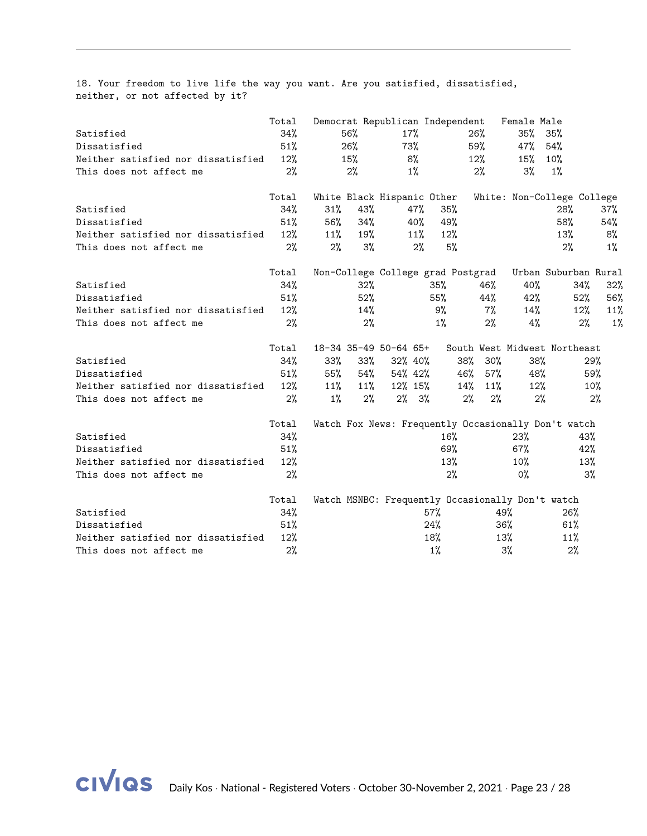18. Your freedom to live life the way you want. Are you satisfied, dissatisfied, neither, or not affected by it?

|                                    | Total |        |        | Democrat Republican Independent                  |        |     |        | Female Male |                                                     |        |
|------------------------------------|-------|--------|--------|--------------------------------------------------|--------|-----|--------|-------------|-----------------------------------------------------|--------|
| Satisfied                          | 34%   |        | 56%    | 17%                                              |        |     | 26%    | $35\%$      | 35%                                                 |        |
| Dissatisfied                       | 51%   |        | 26%    | 73%                                              |        |     | 59%    | 47%         | 54%                                                 |        |
| Neither satisfied nor dissatisfied | 12%   |        | 15%    | 8%                                               |        |     | $12\%$ | 15%         | $10\%$                                              |        |
| This does not affect me            | 2%    |        | 2%     | $1\%$                                            |        |     | 2%     | 3%          | $1\%$                                               |        |
|                                    | Total |        |        | White Black Hispanic Other                       |        |     |        |             | White: Non-College College                          |        |
| Satisfied                          | 34%   | $31\%$ | 43%    |                                                  | 47%    | 35% |        |             | 28%                                                 | 37%    |
| Dissatisfied                       | 51%   | 56%    | 34%    |                                                  | 40%    | 49% |        |             | 58%                                                 | 54%    |
| Neither satisfied nor dissatisfied | 12%   | 11%    | 19%    |                                                  | 11%    | 12% |        |             | 13%                                                 | 8%     |
| This does not affect me            | 2%    | 2%     | 3%     |                                                  | 2%     | 5%  |        |             | 2%                                                  | $1\%$  |
|                                    | Total |        |        | Non-College College grad Postgrad                |        |     |        |             | Urban Suburban Rural                                |        |
| Satisfied                          | 34%   |        | 32%    |                                                  | 35%    |     | 46%    | 40%         | 34%                                                 | $32\%$ |
| Dissatisfied                       | 51%   |        | 52%    |                                                  | 55%    |     | 44%    | 42%         | 52%                                                 | 56%    |
| Neither satisfied nor dissatisfied | 12%   |        | 14%    |                                                  | 9%     |     | 7%     | 14%         | $12\%$                                              | 11%    |
| This does not affect me            | 2%    |        | $2\%$  |                                                  | 1%     |     | 2%     | 4%          | 2%                                                  | 1%     |
|                                    | Total |        |        | 18-34 35-49 50-64 65+                            |        |     |        |             | South West Midwest Northeast                        |        |
| Satisfied                          | 34%   | $33\%$ | $33\%$ | 32% 40%                                          |        | 38% | $30\%$ | 38%         |                                                     | 29%    |
| Dissatisfied                       | 51%   | 55%    | 54%    | 54% 42%                                          |        | 46% | 57%    | 48%         |                                                     | 59%    |
| Neither satisfied nor dissatisfied | 12%   | 11%    | $11\%$ | 12% 15%                                          |        | 14% | 11%    | 12%         |                                                     | 10%    |
| This does not affect me            | 2%    | $1\%$  | $2\%$  | $2\%$ 3%                                         |        | 2%  | 2%     | 2%          |                                                     | $2\%$  |
|                                    | Total |        |        |                                                  |        |     |        |             | Watch Fox News: Frequently Occasionally Don't watch |        |
| Satisfied                          | 34%   |        |        |                                                  |        | 16% |        | 23%         | 43%                                                 |        |
| Dissatisfied                       | 51%   |        |        |                                                  |        | 69% |        | $67\%$      | 42%                                                 |        |
| Neither satisfied nor dissatisfied | 12%   |        |        |                                                  |        | 13% |        | $10\%$      | 13%                                                 |        |
| This does not affect me            | 2%    |        |        |                                                  |        | 2%  |        | 0%          |                                                     | 3%     |
|                                    | Total |        |        | Watch MSNBC: Frequently Occasionally Don't watch |        |     |        |             |                                                     |        |
| Satisfied                          | 34%   |        |        |                                                  | $57\%$ |     | 49%    |             | 26%                                                 |        |
| Dissatisfied                       | 51%   |        |        |                                                  | 24%    |     |        | $36\%$      | 61%                                                 |        |
| Neither satisfied nor dissatisfied | 12%   |        |        |                                                  | 18%    |     | 13%    |             | 11%                                                 |        |
| This does not affect me            | 2%    |        |        |                                                  | $1\%$  |     |        | $3\%$       | 2%                                                  |        |

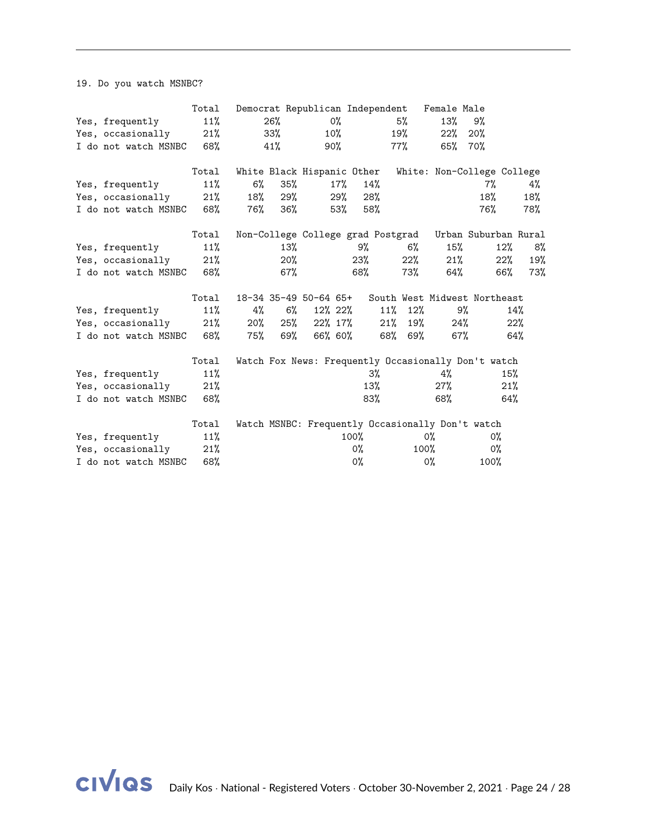19. Do you watch MSNBC?

|                      | Total |       |        |                            |        |                |     |         | Democrat Republican Independent Female Male |                                                        |        |     |
|----------------------|-------|-------|--------|----------------------------|--------|----------------|-----|---------|---------------------------------------------|--------------------------------------------------------|--------|-----|
| Yes, frequently      | 11%   |       | 26%    |                            | $0\%$  |                |     | 5%      | 13%                                         | 9%                                                     |        |     |
| Yes, occasionally    | 21%   |       | $33\%$ |                            | $10\%$ |                | 19% |         | 22%                                         | 20%                                                    |        |     |
| I do not watch MSNBC | 68%   |       | 41%    |                            | 90%    |                | 77% |         | 65%                                         | 70%                                                    |        |     |
|                      | Total |       |        | White Black Hispanic Other |        |                |     |         |                                             | White: Non-College College                             |        |     |
| Yes, frequently      | 11%   | $6\%$ | 35%    |                            | $17\%$ | 14%            |     |         |                                             | 7%                                                     |        | 4%  |
| Yes, occasionally    | 21%   | 18%   | 29%    |                            | 29%    | 28%            |     |         |                                             | 18%                                                    |        | 18% |
| I do not watch MSNBC | 68%   | 76%   | 36%    |                            | 53%    | 58%            |     |         |                                             | 76%                                                    |        | 78% |
|                      | Total |       |        |                            |        |                |     |         |                                             | Non-College College grad Postgrad Urban Suburban Rural |        |     |
| Yes, frequently      | 11%   |       | 13%    |                            |        | 9%             |     | $6\%$   | 15%                                         |                                                        | $12\%$ | 8%  |
| Yes, occasionally    | 21%   |       | $20\%$ |                            |        | 23%            |     | 22%     | 21%                                         |                                                        | 22%    | 19% |
| I do not watch MSNBC | 68%   |       | $67\%$ |                            |        | 68%            |     | 73%     |                                             | 64%                                                    | 66%    | 73% |
|                      | Total |       |        | 18-34 35-49 50-64 65+      |        |                |     |         |                                             | South West Midwest Northeast                           |        |     |
| Yes, frequently      | 11%   | 4%    | 6%     | 12% 22%                    |        |                |     | 11% 12% |                                             | 9%                                                     | 14%    |     |
| Yes, occasionally    | 21%   | 20%   | 25%    | 22% 17%                    |        |                | 21% | 19%     |                                             | 24%                                                    | 22%    |     |
| I do not watch MSNBC | 68%   | 75%   | 69%    | 66% 60%                    |        |                |     | 68% 69% | 67%                                         |                                                        | 64%    |     |
|                      | Total |       |        |                            |        |                |     |         |                                             | Watch Fox News: Frequently Occasionally Don't watch    |        |     |
| Yes, frequently      | 11%   |       |        |                            |        | 3%             |     |         | 4%                                          |                                                        | 15%    |     |
| Yes, occasionally    | 21%   |       |        |                            |        | 13%            |     |         | $27\%$                                      |                                                        | 21%    |     |
| I do not watch MSNBC | 68%   |       |        |                            |        | 83%            |     |         | 68%                                         |                                                        | 64%    |     |
|                      | Total |       |        |                            |        |                |     |         |                                             | Watch MSNBC: Frequently Occasionally Don't watch       |        |     |
| Yes, frequently      | 11%   |       |        |                            |        | $100\%$        |     |         | $0\%$                                       | 0%                                                     |        |     |
| Yes, occasionally    | 21%   |       |        |                            |        | 0%             |     | $100\%$ |                                             | 0%                                                     |        |     |
| I do not watch MSNBC | 68%   |       |        |                            |        | O <sub>0</sub> |     |         | 0%                                          | 100%                                                   |        |     |

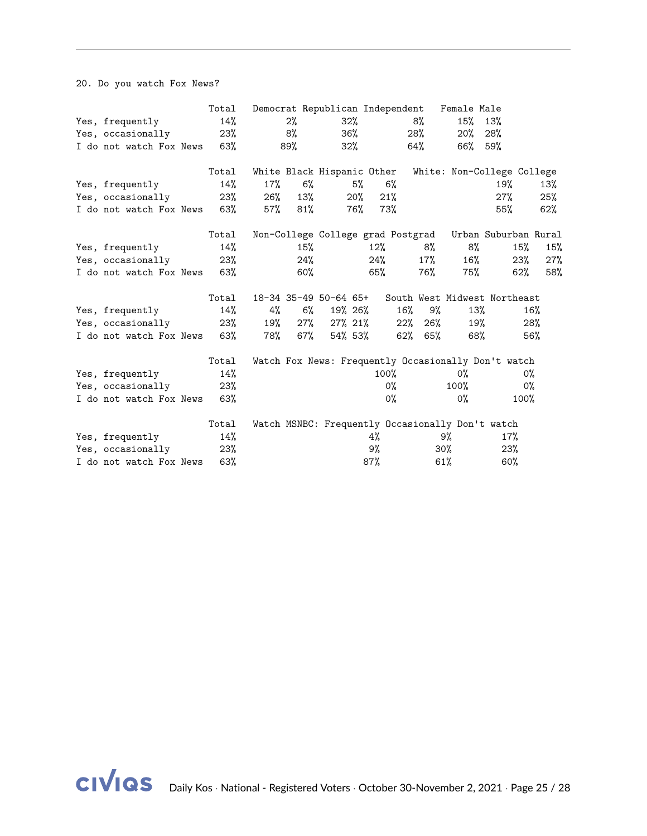20. Do you watch Fox News?

|                             | Total |     |        | Democrat Republican Independent   |     |        |        |     | Female Male |                                                     |       |     |
|-----------------------------|-------|-----|--------|-----------------------------------|-----|--------|--------|-----|-------------|-----------------------------------------------------|-------|-----|
| Yes, frequently             | 14%   |     | 2%     | 32%                               |     |        |        | 8%  | 15%         | 13%                                                 |       |     |
| Yes, occasionally           | 23%   |     | 8%     | 36%                               |     |        |        | 28% | $20\%$      | 28%                                                 |       |     |
| I do not watch Fox News     | 63%   |     | 89%    | $32\%$                            |     |        |        | 64% | 66%         | 59%                                                 |       |     |
|                             | Total |     |        | White Black Hispanic Other        |     |        |        |     |             | White: Non-College College                          |       |     |
| Yes, frequently             | 14%   | 17% | 6%     |                                   | 5%  |        | 6%     |     |             | 19%                                                 |       | 13% |
| Yes, occasionally           | 23%   | 26% | 13%    |                                   | 20% | 21%    |        |     |             | 27%                                                 |       | 25% |
| I do not watch Fox News 63% |       | 57% | 81%    |                                   | 76% | 73%    |        |     |             | 55%                                                 |       | 62% |
|                             | Total |     |        | Non-College College grad Postgrad |     |        |        |     |             | Urban Suburban Rural                                |       |     |
| Yes, frequently             | 14%   |     | 15%    |                                   |     | $12\%$ |        | 8%  | 8%          |                                                     | 15%   | 15% |
| Yes, occasionally           | 23%   |     | 24%    |                                   |     | 24%    |        | 17% | 16%         |                                                     | 23%   | 27% |
| I do not watch Fox News     | 63%   |     | $60\%$ |                                   |     | 65%    |        | 76% | 75%         |                                                     | 62%   | 58% |
|                             |       |     |        |                                   |     |        |        |     |             |                                                     |       |     |
|                             | Total |     |        | 18-34 35-49 50-64 65+             |     |        |        |     |             | South West Midwest Northeast                        |       |     |
| Yes, frequently             | 14%   | 4%  | 6%     | 19% 26%                           |     |        | 16%    | 9%  |             | 13%                                                 | 16%   |     |
| Yes, occasionally           | 23%   | 19% | $27\%$ | 27% 21%                           |     |        | $22\%$ | 26% |             | 19%                                                 | 28%   |     |
| I do not watch Fox News     | 63%   | 78% | 67%    | 54% 53%                           |     |        | 62%    | 65% |             | 68%                                                 | 56%   |     |
|                             | Total |     |        |                                   |     |        |        |     |             | Watch Fox News: Frequently Occasionally Don't watch |       |     |
| Yes, frequently             | 14%   |     |        |                                   |     | 100%   |        |     | 0%          |                                                     | 0%    |     |
| Yes, occasionally           | 23%   |     |        |                                   |     |        | 0%     |     | 100%        |                                                     | $0\%$ |     |
| I do not watch Fox News     | 63%   |     |        |                                   |     |        | 0%     |     | 0%          |                                                     | 100%  |     |
|                             | Total |     |        |                                   |     |        |        |     |             | Watch MSNBC: Frequently Occasionally Don't watch    |       |     |
| Yes, frequently             | 14%   |     |        |                                   |     | 4%     |        |     | 9%          | 17%                                                 |       |     |
| Yes, occasionally           | 23%   |     |        |                                   |     | 9%     |        |     | $30\%$      | 23%                                                 |       |     |
| I do not watch Fox News     | 63%   |     |        |                                   |     | 87%    |        |     | $61\%$      | 60%                                                 |       |     |

**CIVIQS** Daily Kos · National - Registered Voters · October 30-November 2, 2021 · Page 25 / [28](#page-27-0)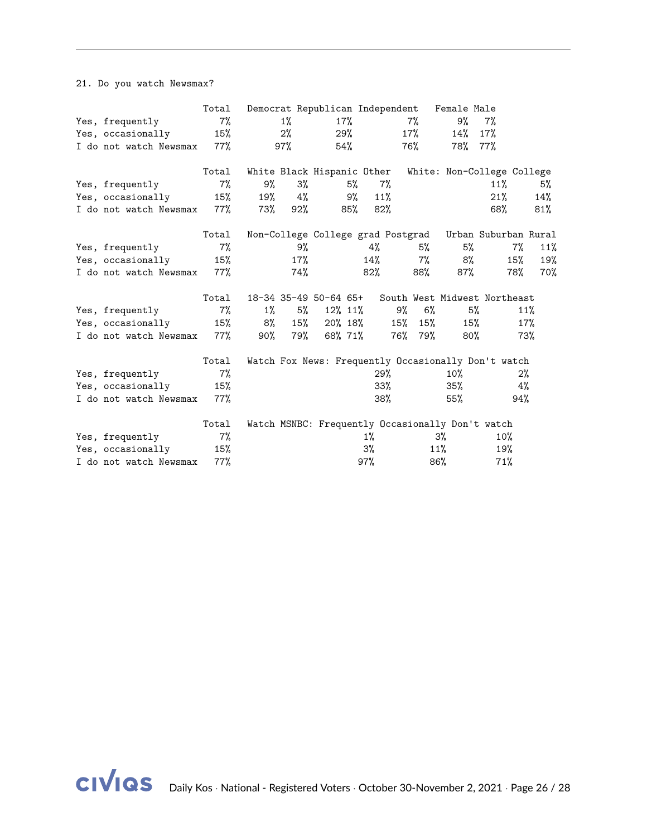21. Do you watch Newsmax?

|                        | Total  |        |        | Democrat Republican Independent |     |        |     |       | Female Male |                                                        |     |     |
|------------------------|--------|--------|--------|---------------------------------|-----|--------|-----|-------|-------------|--------------------------------------------------------|-----|-----|
| Yes, frequently        | 7%     |        | 1%     |                                 | 17% |        |     | 7%    | 9%          | 7%                                                     |     |     |
| Yes, occasionally      | 15%    |        | 2%     |                                 | 29% |        |     | 17%   | 14%         | 17%                                                    |     |     |
| I do not watch Newsmax | 77%    |        | 97%    |                                 | 54% |        |     | 76%   | 78%         | $77\%$                                                 |     |     |
|                        | Total  |        |        | White Black Hispanic Other      |     |        |     |       |             | White: Non-College College                             |     |     |
| Yes, frequently        | $7\%$  | 9%     | $3\%$  |                                 | 5%  | 7%     |     |       |             | 11%                                                    |     | 5%  |
| Yes, occasionally      | 15%    | 19%    | 4%     |                                 | 9%  | 11%    |     |       |             | 21%                                                    |     | 14% |
| I do not watch Newsmax | 77%    | 73%    | $92\%$ |                                 | 85% | $82\%$ |     |       |             | 68%                                                    |     | 81% |
|                        | Total  |        |        |                                 |     |        |     |       |             | Non-College College grad Postgrad Urban Suburban Rural |     |     |
| Yes, frequently        | 7%     |        | 9%     |                                 |     | 4%     |     | 5%    | 5%          |                                                        | 7%  | 11% |
| Yes, occasionally      | 15%    |        | 17%    |                                 |     | 14%    |     | $7\%$ | 8%          |                                                        | 15% | 19% |
| I do not watch Newsmax | $77\%$ |        | 74%    |                                 |     | 82%    |     | 88%   | 87%         |                                                        | 78% | 70% |
|                        | Total  |        |        | 18-34 35-49 50-64 65+           |     |        |     |       |             | South West Midwest Northeast                           |     |     |
| Yes, frequently        | $7\%$  | 1%     | 5%     | 12% 11%                         |     |        | 9%  | $6\%$ |             | 5%                                                     | 11% |     |
| Yes, occasionally      | 15%    | 8%     | 15%    | 20% 18%                         |     |        | 15% | 15%   |             | 15%                                                    | 17% |     |
| I do not watch Newsmax | 77%    | $90\%$ | 79%    | 68% 71%                         |     |        | 76% | 79%   |             | 80%                                                    | 73% |     |
|                        | Total  |        |        |                                 |     |        |     |       |             | Watch Fox News: Frequently Occasionally Don't watch    |     |     |
| Yes, frequently        | $7\%$  |        |        |                                 |     | 29%    |     |       | $10\%$      |                                                        | 2%  |     |
| Yes, occasionally      | 15%    |        |        |                                 |     | $33\%$ |     |       | 35%         |                                                        | 4%  |     |
| I do not watch Newsmax | 77%    |        |        |                                 |     | 38%    |     |       | 55%         |                                                        | 94% |     |
|                        | Total  |        |        |                                 |     |        |     |       |             | Watch MSNBC: Frequently Occasionally Don't watch       |     |     |
| Yes, frequently        | $7\%$  |        |        |                                 |     | $1\%$  |     |       | $3\%$       | 10%                                                    |     |     |
| Yes, occasionally      | 15%    |        |        |                                 |     | 3%     |     |       | 11%         | 19%                                                    |     |     |
| I do not watch Newsmax | 77%    |        |        |                                 |     | 97%    |     |       | 86%         | 71%                                                    |     |     |

civias Daily Kos · National - Registered Voters · October 30-November 2, 2021 · Page 26 / [28](#page-27-0)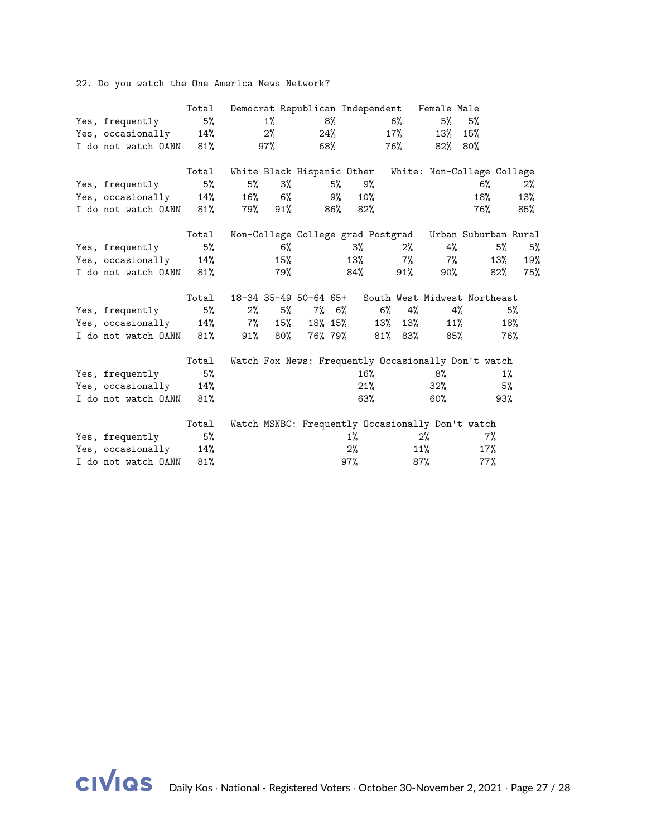22. Do you watch the One America News Network?

|                     | Total  |       |       | Democrat Republican Independent |     |        |               |       | Female Male                                            |       |       |       |
|---------------------|--------|-------|-------|---------------------------------|-----|--------|---------------|-------|--------------------------------------------------------|-------|-------|-------|
| Yes, frequently     | 5%     |       | $1\%$ |                                 | 8%  |        | 6%            |       | 5%                                                     | 5%    |       |       |
| Yes, occasionally   | 14%    |       | 2%    | 24%                             |     |        | 17%           |       | 13%                                                    | 15%   |       |       |
| I do not watch OANN | 81%    |       | 97%   | 68%                             |     |        | 76%           |       | 82%                                                    | 80%   |       |       |
|                     | Total  |       |       | White Black Hispanic Other      |     |        |               |       | White: Non-College College                             |       |       |       |
| Yes, frequently     | 5%     | 5%    | 3%    |                                 | 5%  | 9%     |               |       |                                                        | 6%    |       | $2\%$ |
| Yes, occasionally   | 14%    | 16%   | $6\%$ |                                 | 9%  | $10\%$ |               |       |                                                        | 18%   |       | 13%   |
| I do not watch OANN | 81%    | 79%   | 91%   |                                 | 86% | $82\%$ |               |       |                                                        | 76%   |       | 85%   |
|                     | Total  |       |       |                                 |     |        |               |       | Non-College College grad Postgrad Urban Suburban Rural |       |       |       |
| Yes, frequently     | 5%     |       | $6\%$ |                                 |     | $3\%$  |               | $2\%$ | 4%                                                     |       | 5%    | 5%    |
| Yes, occasionally   | 14%    |       | 15%   |                                 |     | 13%    |               | $7\%$ | $7\%$                                                  |       | 13%   | 19%   |
| I do not watch OANN | 81%    |       | 79%   |                                 |     | 84%    |               | 91%   | 90%                                                    |       | 82%   | 75%   |
|                     | Total  |       |       | 18-34 35-49 50-64 65+           |     |        |               |       | South West Midwest Northeast                           |       |       |       |
| Yes, frequently     | 5%     | $2\%$ | 5%    | $7\%$ 6%                        |     |        | $6\%$         | 4%    |                                                        | 4%    |       | 5%    |
| Yes, occasionally   | 14%    | 7%    | 15%   | 18% 15%                         |     |        | 13%           | 13%   | 11%                                                    |       | 18%   |       |
| I do not watch OANN | 81%    | 91%   | 80%   | 76% 79%                         |     |        | $81\%$ $83\%$ |       | 85%                                                    |       | 76%   |       |
|                     | Total  |       |       |                                 |     |        |               |       | Watch Fox News: Frequently Occasionally Don't watch    |       |       |       |
| Yes, frequently     | 5%     |       |       |                                 |     | 16%    |               |       | 8%                                                     |       | $1\%$ |       |
| Yes, occasionally   | 14%    |       |       |                                 |     | 21%    |               |       | $32\%$                                                 |       | 5%    |       |
| I do not watch OANN | 81%    |       |       |                                 |     | 63%    |               |       | $60\%$                                                 |       | 93%   |       |
|                     | Total  |       |       |                                 |     |        |               |       | Watch MSNBC: Frequently Occasionally Don't watch       |       |       |       |
| Yes, frequently     | 5%     |       |       |                                 |     | $1\%$  |               |       | $2\%$                                                  | $7\%$ |       |       |
| Yes, occasionally   | 14%    |       |       |                                 |     | 2%     |               |       | 11%                                                    | 17%   |       |       |
| I do not watch OANN | $81\%$ |       |       |                                 |     | 97%    |               |       | 87%                                                    | 77%   |       |       |